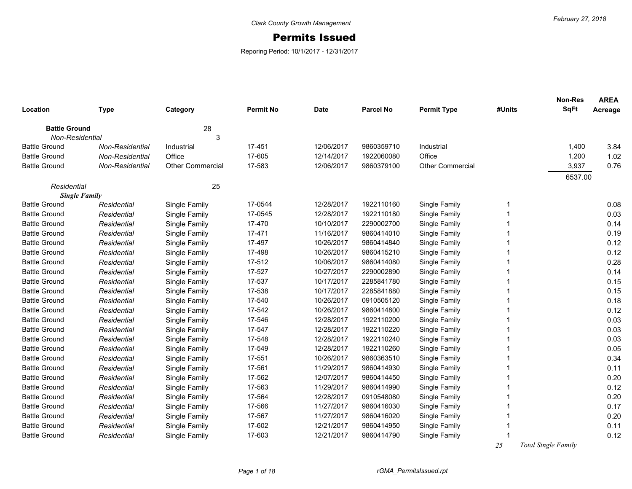## Permits Issued

Reporing Period: 10/1/2017 - 12/31/2017

| Location             | <b>Type</b>     | Category                | <b>Permit No</b> | <b>Date</b> | <b>Parcel No</b> | <b>Permit Type</b>      | #Units | <b>Non-Res</b><br><b>SqFt</b> | <b>AREA</b><br>Acreage |
|----------------------|-----------------|-------------------------|------------------|-------------|------------------|-------------------------|--------|-------------------------------|------------------------|
| <b>Battle Ground</b> |                 | 28                      |                  |             |                  |                         |        |                               |                        |
| Non-Residential      |                 | 3                       |                  |             |                  |                         |        |                               |                        |
| <b>Battle Ground</b> | Non-Residential | Industrial              | 17-451           | 12/06/2017  | 9860359710       | Industrial              |        | 1,400                         | 3.84                   |
| <b>Battle Ground</b> | Non-Residential | Office                  | 17-605           | 12/14/2017  | 1922060080       | Office                  |        | 1,200                         | 1.02                   |
| <b>Battle Ground</b> | Non-Residential | <b>Other Commercial</b> | 17-583           | 12/06/2017  | 9860379100       | <b>Other Commercial</b> |        | 3,937                         | 0.76                   |
|                      |                 |                         |                  |             |                  |                         |        | 6537.00                       |                        |
| Residential          |                 | 25                      |                  |             |                  |                         |        |                               |                        |
| <b>Single Family</b> |                 |                         |                  |             |                  |                         |        |                               |                        |
| <b>Battle Ground</b> | Residential     | Single Family           | 17-0544          | 12/28/2017  | 1922110160       | Single Family           |        |                               | 0.08                   |
| <b>Battle Ground</b> | Residential     | Single Family           | 17-0545          | 12/28/2017  | 1922110180       | Single Family           |        |                               | 0.03                   |
| <b>Battle Ground</b> | Residential     | Single Family           | 17-470           | 10/10/2017  | 2290002700       | Single Family           |        |                               | 0.14                   |
| <b>Battle Ground</b> | Residential     | Single Family           | 17-471           | 11/16/2017  | 9860414010       | Single Family           |        |                               | 0.19                   |
| <b>Battle Ground</b> | Residential     | Single Family           | 17-497           | 10/26/2017  | 9860414840       | Single Family           |        |                               | 0.12                   |
| <b>Battle Ground</b> | Residential     | Single Family           | 17-498           | 10/26/2017  | 9860415210       | Single Family           |        |                               | 0.12                   |
| <b>Battle Ground</b> | Residential     | Single Family           | 17-512           | 10/06/2017  | 9860414080       | Single Family           |        |                               | 0.28                   |
| <b>Battle Ground</b> | Residential     | Single Family           | 17-527           | 10/27/2017  | 2290002890       | Single Family           |        |                               | 0.14                   |
| <b>Battle Ground</b> | Residential     | Single Family           | 17-537           | 10/17/2017  | 2285841780       | Single Family           |        |                               | 0.15                   |
| <b>Battle Ground</b> | Residential     | Single Family           | 17-538           | 10/17/2017  | 2285841880       | Single Family           |        |                               | 0.15                   |
| <b>Battle Ground</b> | Residential     | Single Family           | 17-540           | 10/26/2017  | 0910505120       | Single Family           |        |                               | 0.18                   |
| <b>Battle Ground</b> | Residential     | Single Family           | 17-542           | 10/26/2017  | 9860414800       | Single Family           |        |                               | 0.12                   |
| <b>Battle Ground</b> | Residential     | Single Family           | 17-546           | 12/28/2017  | 1922110200       | Single Family           |        |                               | 0.03                   |
| <b>Battle Ground</b> | Residential     | Single Family           | 17-547           | 12/28/2017  | 1922110220       | Single Family           |        |                               | 0.03                   |
| <b>Battle Ground</b> | Residential     | Single Family           | 17-548           | 12/28/2017  | 1922110240       | Single Family           |        |                               | 0.03                   |
| <b>Battle Ground</b> | Residential     | Single Family           | 17-549           | 12/28/2017  | 1922110260       | Single Family           |        |                               | 0.05                   |
| <b>Battle Ground</b> | Residential     | Single Family           | 17-551           | 10/26/2017  | 9860363510       | Single Family           |        |                               | 0.34                   |
| <b>Battle Ground</b> | Residential     | Single Family           | 17-561           | 11/29/2017  | 9860414930       | Single Family           |        |                               | 0.11                   |
| <b>Battle Ground</b> | Residential     | Single Family           | 17-562           | 12/07/2017  | 9860414450       | Single Family           |        |                               | 0.20                   |
| <b>Battle Ground</b> | Residential     | Single Family           | 17-563           | 11/29/2017  | 9860414990       | Single Family           |        |                               | 0.12                   |
| <b>Battle Ground</b> | Residential     | Single Family           | 17-564           | 12/28/2017  | 0910548080       | Single Family           |        |                               | 0.20                   |
| <b>Battle Ground</b> | Residential     | Single Family           | 17-566           | 11/27/2017  | 9860416030       | Single Family           |        |                               | 0.17                   |
| <b>Battle Ground</b> | Residential     | Single Family           | 17-567           | 11/27/2017  | 9860416020       | Single Family           |        |                               | 0.20                   |
| <b>Battle Ground</b> | Residential     | Single Family           | 17-602           | 12/21/2017  | 9860414950       | Single Family           |        |                               | 0.11                   |
| <b>Battle Ground</b> | Residential     | Single Family           | 17-603           | 12/21/2017  | 9860414790       | Single Family           |        |                               | 0.12                   |

 *25 Total Single Family*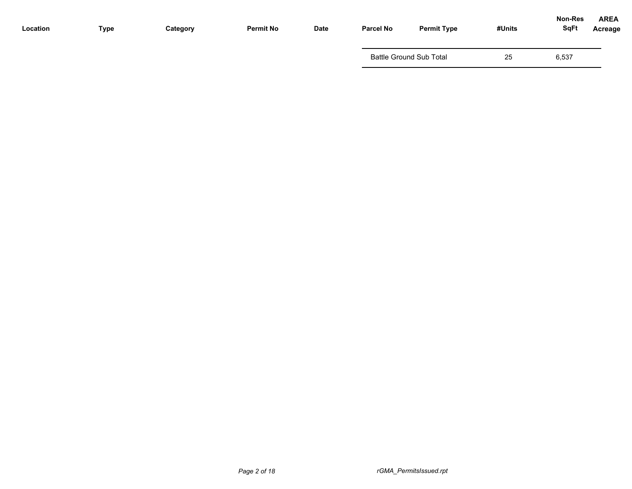| Location | <b>Type</b> | Category | <b>Permit No</b> | <b>Date</b> | <b>Parcel No</b> | <b>Permit Type</b>             | #Units | <b>Non-Res</b><br><b>SqFt</b> | <b>AREA</b><br>Acreage |
|----------|-------------|----------|------------------|-------------|------------------|--------------------------------|--------|-------------------------------|------------------------|
|          |             |          |                  |             |                  | <b>Battle Ground Sub Total</b> | 25     | 6,537                         |                        |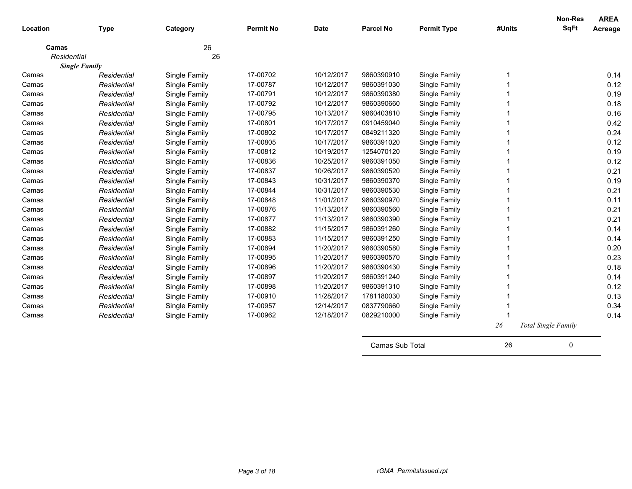| Location    | <b>Type</b>          | Category      | <b>Permit No</b> | <b>Date</b> | <b>Parcel No</b> | <b>Permit Type</b> | #Units | <b>Non-Res</b><br><b>SqFt</b> | <b>AREA</b><br>Acreage |
|-------------|----------------------|---------------|------------------|-------------|------------------|--------------------|--------|-------------------------------|------------------------|
| Camas       |                      | 26            |                  |             |                  |                    |        |                               |                        |
| Residential |                      | 26            |                  |             |                  |                    |        |                               |                        |
|             | <b>Single Family</b> |               |                  |             |                  |                    |        |                               |                        |
| Camas       | Residential          | Single Family | 17-00702         | 10/12/2017  | 9860390910       | Single Family      |        |                               | 0.14                   |
| Camas       | Residential          | Single Family | 17-00787         | 10/12/2017  | 9860391030       | Single Family      |        |                               | 0.12                   |
| Camas       | Residential          | Single Family | 17-00791         | 10/12/2017  | 9860390380       | Single Family      |        |                               | 0.19                   |
| Camas       | Residential          | Single Family | 17-00792         | 10/12/2017  | 9860390660       | Single Family      |        |                               | 0.18                   |
| Camas       | Residential          | Single Family | 17-00795         | 10/13/2017  | 9860403810       | Single Family      |        |                               | 0.16                   |
| Camas       | Residential          | Single Family | 17-00801         | 10/17/2017  | 0910459040       | Single Family      |        |                               | 0.42                   |
| Camas       | Residential          | Single Family | 17-00802         | 10/17/2017  | 0849211320       | Single Family      |        |                               | 0.24                   |
| Camas       | Residential          | Single Family | 17-00805         | 10/17/2017  | 9860391020       | Single Family      |        |                               | 0.12                   |
| Camas       | Residential          | Single Family | 17-00812         | 10/19/2017  | 1254070120       | Single Family      |        |                               | 0.19                   |
| Camas       | Residential          | Single Family | 17-00836         | 10/25/2017  | 9860391050       | Single Family      |        |                               | 0.12                   |
| Camas       | Residential          | Single Family | 17-00837         | 10/26/2017  | 9860390520       | Single Family      |        |                               | 0.21                   |
| Camas       | Residential          | Single Family | 17-00843         | 10/31/2017  | 9860390370       | Single Family      |        |                               | 0.19                   |
| Camas       | Residential          | Single Family | 17-00844         | 10/31/2017  | 9860390530       | Single Family      |        |                               | 0.21                   |
| Camas       | Residential          | Single Family | 17-00848         | 11/01/2017  | 9860390970       | Single Family      |        |                               | 0.11                   |
| Camas       | Residential          | Single Family | 17-00876         | 11/13/2017  | 9860390560       | Single Family      |        |                               | 0.21                   |
| Camas       | Residential          | Single Family | 17-00877         | 11/13/2017  | 9860390390       | Single Family      |        |                               | 0.21                   |
| Camas       | Residential          | Single Family | 17-00882         | 11/15/2017  | 9860391260       | Single Family      |        |                               | 0.14                   |
| Camas       | Residential          | Single Family | 17-00883         | 11/15/2017  | 9860391250       | Single Family      |        |                               | 0.14                   |
| Camas       | Residential          | Single Family | 17-00894         | 11/20/2017  | 9860390580       | Single Family      |        |                               | 0.20                   |
| Camas       | Residential          | Single Family | 17-00895         | 11/20/2017  | 9860390570       | Single Family      |        |                               | 0.23                   |
| Camas       | Residential          | Single Family | 17-00896         | 11/20/2017  | 9860390430       | Single Family      |        |                               | 0.18                   |
| Camas       | Residential          | Single Family | 17-00897         | 11/20/2017  | 9860391240       | Single Family      |        |                               | 0.14                   |
| Camas       | Residential          | Single Family | 17-00898         | 11/20/2017  | 9860391310       | Single Family      |        |                               | 0.12                   |
| Camas       | Residential          | Single Family | 17-00910         | 11/28/2017  | 1781180030       | Single Family      |        |                               | 0.13                   |
| Camas       | Residential          | Single Family | 17-00957         | 12/14/2017  | 0837790660       | Single Family      |        |                               | 0.34                   |
| Camas       | Residential          | Single Family | 17-00962         | 12/18/2017  | 0829210000       | Single Family      |        |                               | 0.14                   |
|             |                      |               |                  |             |                  |                    | $26\,$ | Total Single Family           |                        |
|             |                      |               |                  |             | Camas Sub Total  |                    | 26     | 0                             |                        |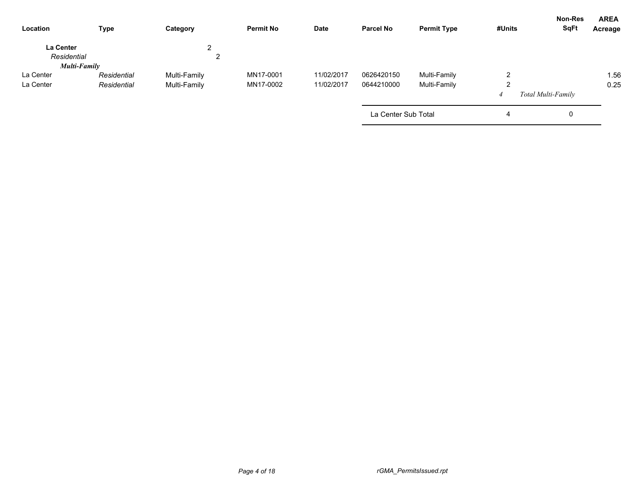| Location                 | <b>Type</b>  | Category     | <b>Permit No</b> | <b>Date</b> | <b>Parcel No</b>    | <b>Permit Type</b> | #Units | Non-Res<br><b>SqFt</b> | <b>AREA</b><br>Acreage |
|--------------------------|--------------|--------------|------------------|-------------|---------------------|--------------------|--------|------------------------|------------------------|
| La Center<br>Residential |              | ົ<br>∠<br>∠  |                  |             |                     |                    |        |                        |                        |
|                          | Multi-Family |              |                  |             |                     |                    |        |                        |                        |
| La Center                | Residential  | Multi-Family | MN17-0001        | 11/02/2017  | 0626420150          | Multi-Family       | 2      |                        | 1.56                   |
| La Center                | Residential  | Multi-Family | MN17-0002        | 11/02/2017  | 0644210000          | Multi-Family       | 2      |                        | 0.25                   |
|                          |              |              |                  |             |                     |                    |        | Total Multi-Family     |                        |
|                          |              |              |                  |             | La Center Sub Total |                    | 4      | 0                      |                        |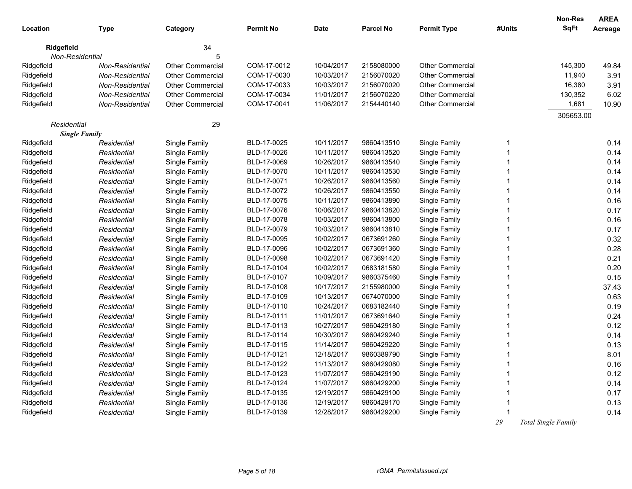| Location    | <b>Type</b>          | Category                | <b>Permit No</b> | <b>Date</b> | <b>Parcel No</b> | <b>Permit Type</b>      | #Units       | <b>Non-Res</b><br><b>SqFt</b> | <b>AREA</b><br>Acreage |
|-------------|----------------------|-------------------------|------------------|-------------|------------------|-------------------------|--------------|-------------------------------|------------------------|
| Ridgefield  |                      | 34                      |                  |             |                  |                         |              |                               |                        |
|             | Non-Residential      | 5                       |                  |             |                  |                         |              |                               |                        |
| Ridgefield  | Non-Residential      | <b>Other Commercial</b> | COM-17-0012      | 10/04/2017  | 2158080000       | <b>Other Commercial</b> |              | 145,300                       | 49.84                  |
| Ridgefield  | Non-Residential      | <b>Other Commercial</b> | COM-17-0030      | 10/03/2017  | 2156070020       | <b>Other Commercial</b> |              | 11,940                        | 3.91                   |
| Ridgefield  | Non-Residential      | <b>Other Commercial</b> | COM-17-0033      | 10/03/2017  | 2156070020       | <b>Other Commercial</b> |              | 16,380                        | 3.91                   |
| Ridgefield  | Non-Residential      | Other Commercial        | COM-17-0034      | 11/01/2017  | 2156070220       | <b>Other Commercial</b> |              | 130,352                       | 6.02                   |
| Ridgefield  | Non-Residential      | <b>Other Commercial</b> | COM-17-0041      | 11/06/2017  | 2154440140       | <b>Other Commercial</b> |              | 1,681                         | 10.90                  |
|             |                      |                         |                  |             |                  |                         |              | 305653.00                     |                        |
| Residential |                      | 29                      |                  |             |                  |                         |              |                               |                        |
|             | <b>Single Family</b> |                         |                  |             |                  |                         |              |                               |                        |
| Ridgefield  | Residential          | Single Family           | BLD-17-0025      | 10/11/2017  | 9860413510       | Single Family           | 1            |                               | 0.14                   |
| Ridgefield  | Residential          | Single Family           | BLD-17-0026      | 10/11/2017  | 9860413520       | Single Family           | $\mathbf{1}$ |                               | 0.14                   |
| Ridgefield  | Residential          | Single Family           | BLD-17-0069      | 10/26/2017  | 9860413540       | Single Family           | 1            |                               | 0.14                   |
| Ridgefield  | Residential          | Single Family           | BLD-17-0070      | 10/11/2017  | 9860413530       | Single Family           | 1            |                               | 0.14                   |
| Ridgefield  | Residential          | Single Family           | BLD-17-0071      | 10/26/2017  | 9860413560       | Single Family           | 1            |                               | 0.14                   |
| Ridgefield  | Residential          | Single Family           | BLD-17-0072      | 10/26/2017  | 9860413550       | Single Family           | 1            |                               | 0.14                   |
| Ridgefield  | Residential          | Single Family           | BLD-17-0075      | 10/11/2017  | 9860413890       | Single Family           | $\mathbf 1$  |                               | 0.16                   |
| Ridgefield  | Residential          | Single Family           | BLD-17-0076      | 10/06/2017  | 9860413820       | Single Family           | 1            |                               | 0.17                   |
| Ridgefield  | Residential          | Single Family           | BLD-17-0078      | 10/03/2017  | 9860413800       | Single Family           | 1            |                               | 0.16                   |
| Ridgefield  | Residential          | Single Family           | BLD-17-0079      | 10/03/2017  | 9860413810       | Single Family           | 1            |                               | 0.17                   |
| Ridgefield  | Residential          | Single Family           | BLD-17-0095      | 10/02/2017  | 0673691260       | Single Family           | 1            |                               | 0.32                   |
| Ridgefield  | Residential          | Single Family           | BLD-17-0096      | 10/02/2017  | 0673691360       | Single Family           | 1            |                               | 0.28                   |
| Ridgefield  | Residential          | Single Family           | BLD-17-0098      | 10/02/2017  | 0673691420       | Single Family           | 1            |                               | 0.21                   |
| Ridgefield  | Residential          | Single Family           | BLD-17-0104      | 10/02/2017  | 0683181580       | Single Family           | 1            |                               | 0.20                   |
| Ridgefield  | Residential          | Single Family           | BLD-17-0107      | 10/09/2017  | 9860375460       | Single Family           | 1            |                               | 0.15                   |
| Ridgefield  | Residential          | Single Family           | BLD-17-0108      | 10/17/2017  | 2155980000       | Single Family           | 1            |                               | 37.43                  |
| Ridgefield  | Residential          | Single Family           | BLD-17-0109      | 10/13/2017  | 0674070000       | Single Family           | 1            |                               | 0.63                   |
| Ridgefield  | Residential          | Single Family           | BLD-17-0110      | 10/24/2017  | 0683182440       | Single Family           |              |                               | 0.19                   |
| Ridgefield  | Residential          | Single Family           | BLD-17-0111      | 11/01/2017  | 0673691640       | Single Family           | 1            |                               | 0.24                   |
| Ridgefield  | Residential          | Single Family           | BLD-17-0113      | 10/27/2017  | 9860429180       | Single Family           | 1            |                               | 0.12                   |
| Ridgefield  | Residential          | Single Family           | BLD-17-0114      | 10/30/2017  | 9860429240       | Single Family           | 1            |                               | 0.14                   |
| Ridgefield  | Residential          | Single Family           | BLD-17-0115      | 11/14/2017  | 9860429220       | Single Family           | 1            |                               | 0.13                   |
| Ridgefield  | Residential          | Single Family           | BLD-17-0121      | 12/18/2017  | 9860389790       | Single Family           | $\mathbf 1$  |                               | 8.01                   |
| Ridgefield  | Residential          | Single Family           | BLD-17-0122      | 11/13/2017  | 9860429080       | Single Family           | 1            |                               | 0.16                   |
| Ridgefield  | Residential          | Single Family           | BLD-17-0123      | 11/07/2017  | 9860429190       | Single Family           | 1            |                               | 0.12                   |
| Ridgefield  | Residential          | Single Family           | BLD-17-0124      | 11/07/2017  | 9860429200       | Single Family           | 1            |                               | 0.14                   |
| Ridgefield  | Residential          | Single Family           | BLD-17-0135      | 12/19/2017  | 9860429100       | Single Family           | $\mathbf 1$  |                               | 0.17                   |
| Ridgefield  | Residential          | Single Family           | BLD-17-0136      | 12/19/2017  | 9860429170       | Single Family           | 1            |                               | 0.13                   |
| Ridgefield  | Residential          | Single Family           | BLD-17-0139      | 12/28/2017  | 9860429200       | Single Family           | 1            |                               | 0.14                   |
|             |                      |                         |                  |             |                  |                         | 29           | Total Single Family           |                        |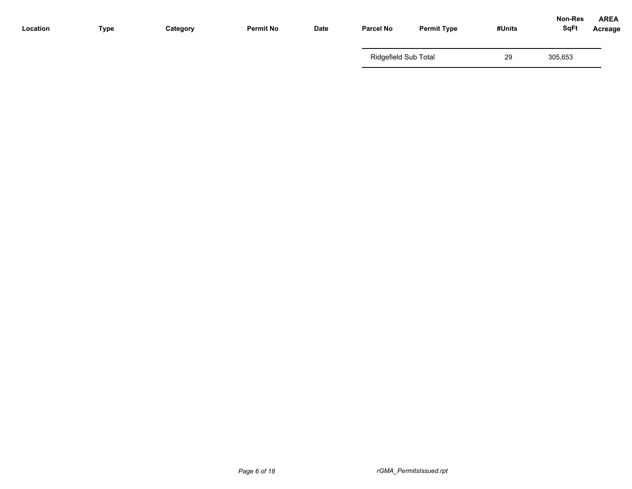| Location | Type | Category | <b>Permit No</b> | Date | <b>Parcel No</b>     | <b>Permit Type</b> | #Units | <b>Non-Res</b><br><b>SqFt</b> | <b>AREA</b><br>Acreage |
|----------|------|----------|------------------|------|----------------------|--------------------|--------|-------------------------------|------------------------|
|          |      |          |                  |      | Ridgefield Sub Total |                    | 29     | 305,653                       |                        |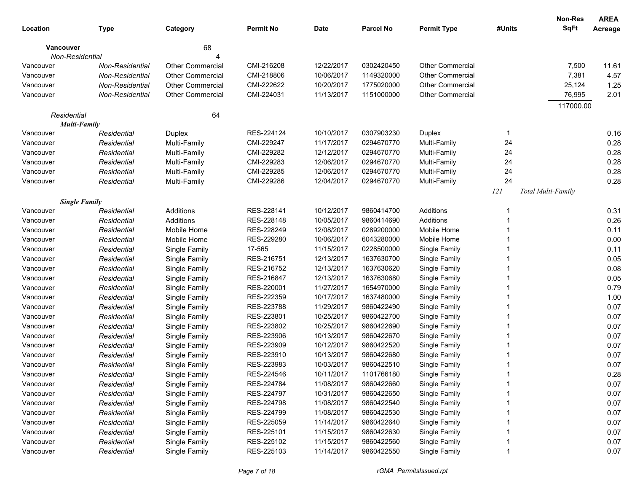|                     |                      |                         |                  |             |                  |                         |        | Non-Res            | <b>AREA</b> |
|---------------------|----------------------|-------------------------|------------------|-------------|------------------|-------------------------|--------|--------------------|-------------|
| Location            | <b>Type</b>          | Category                | <b>Permit No</b> | <b>Date</b> | <b>Parcel No</b> | <b>Permit Type</b>      | #Units | <b>SqFt</b>        | Acreage     |
| <b>Vancouver</b>    |                      | 68                      |                  |             |                  |                         |        |                    |             |
| Non-Residential     |                      |                         |                  |             |                  |                         |        |                    |             |
| Vancouver           | Non-Residential      | <b>Other Commercial</b> | CMI-216208       | 12/22/2017  | 0302420450       | <b>Other Commercial</b> |        | 7,500              | 11.61       |
| Vancouver           | Non-Residential      | <b>Other Commercial</b> | CMI-218806       | 10/06/2017  | 1149320000       | <b>Other Commercial</b> |        | 7,381              | 4.57        |
| Vancouver           | Non-Residential      | <b>Other Commercial</b> | CMI-222622       | 10/20/2017  | 1775020000       | <b>Other Commercial</b> |        | 25,124             | 1.25        |
| Vancouver           | Non-Residential      | <b>Other Commercial</b> | CMI-224031       | 11/13/2017  | 1151000000       | <b>Other Commercial</b> |        | 76,995             | 2.01        |
|                     |                      |                         |                  |             |                  |                         |        | 117000.00          |             |
| Residential         |                      | 64                      |                  |             |                  |                         |        |                    |             |
| <b>Multi-Family</b> |                      |                         |                  |             |                  |                         |        |                    |             |
| Vancouver           | Residential          | Duplex                  | RES-224124       | 10/10/2017  | 0307903230       | Duplex                  | -1     |                    | 0.16        |
| Vancouver           | Residential          | Multi-Family            | CMI-229247       | 11/17/2017  | 0294670770       | Multi-Family            | 24     |                    | 0.28        |
| Vancouver           | Residential          | Multi-Family            | CMI-229282       | 12/12/2017  | 0294670770       | Multi-Family            | 24     |                    | 0.28        |
| Vancouver           | Residential          | Multi-Family            | CMI-229283       | 12/06/2017  | 0294670770       | Multi-Family            | 24     |                    | 0.28        |
| Vancouver           | Residential          | Multi-Family            | CMI-229285       | 12/06/2017  | 0294670770       | Multi-Family            | 24     |                    | 0.28        |
| Vancouver           | Residential          | Multi-Family            | CMI-229286       | 12/04/2017  | 0294670770       | Multi-Family            | 24     |                    | 0.28        |
|                     |                      |                         |                  |             |                  |                         | 121    | Total Multi-Family |             |
|                     | <b>Single Family</b> |                         |                  |             |                  |                         |        |                    |             |
| Vancouver           | Residential          | Additions               | RES-228141       | 10/12/2017  | 9860414700       | Additions               |        |                    | 0.31        |
| Vancouver           | Residential          | Additions               | RES-228148       | 10/05/2017  | 9860414690       | Additions               |        |                    | 0.26        |
| Vancouver           | Residential          | Mobile Home             | RES-228249       | 12/08/2017  | 0289200000       | Mobile Home             |        |                    | 0.11        |
| Vancouver           | Residential          | Mobile Home             | RES-229280       | 10/06/2017  | 6043280000       | Mobile Home             |        |                    | 0.00        |
| Vancouver           | Residential          | Single Family           | 17-565           | 11/15/2017  | 0228500000       | Single Family           |        |                    | 0.11        |
| Vancouver           | Residential          | Single Family           | RES-216751       | 12/13/2017  | 1637630700       | Single Family           |        |                    | 0.05        |
| Vancouver           | Residential          | Single Family           | RES-216752       | 12/13/2017  | 1637630620       | Single Family           |        |                    | 0.08        |
| Vancouver           | Residential          | Single Family           | RES-216847       | 12/13/2017  | 1637630680       | Single Family           |        |                    | 0.05        |
| Vancouver           | Residential          | Single Family           | RES-220001       | 11/27/2017  | 1654970000       | Single Family           |        |                    | 0.79        |
| Vancouver           | Residential          | Single Family           | RES-222359       | 10/17/2017  | 1637480000       | Single Family           |        |                    | 1.00        |
| Vancouver           | Residential          | Single Family           | RES-223788       | 11/29/2017  | 9860422490       | Single Family           |        |                    | 0.07        |
| Vancouver           | Residential          | Single Family           | RES-223801       | 10/25/2017  | 9860422700       | Single Family           |        |                    | 0.07        |
| Vancouver           | Residential          | Single Family           | RES-223802       | 10/25/2017  | 9860422690       | Single Family           |        |                    | 0.07        |
| Vancouver           | Residential          | Single Family           | RES-223906       | 10/13/2017  | 9860422670       | Single Family           |        |                    | 0.07        |
| Vancouver           | Residential          | Single Family           | RES-223909       | 10/12/2017  | 9860422520       | Single Family           |        |                    | 0.07        |
| Vancouver           | Residential          | Single Family           | RES-223910       | 10/13/2017  | 9860422680       | Single Family           |        |                    | 0.07        |
| Vancouver           | Residential          | Single Family           | RES-223983       | 10/03/2017  | 9860422510       | Single Family           |        |                    | 0.07        |
| Vancouver           | Residential          | Single Family           | RES-224546       | 10/11/2017  | 1101766180       | Single Family           |        |                    | 0.28        |
| Vancouver           | Residential          | Single Family           | RES-224784       | 11/08/2017  | 9860422660       | Single Family           |        |                    | 0.07        |
| Vancouver           | Residential          | Single Family           | RES-224797       | 10/31/2017  | 9860422650       | Single Family           |        |                    | 0.07        |
| Vancouver           | Residential          | Single Family           | RES-224798       | 11/08/2017  | 9860422540       | Single Family           |        |                    | 0.07        |
| Vancouver           | Residential          | Single Family           | RES-224799       | 11/08/2017  | 9860422530       | Single Family           |        |                    | 0.07        |
| Vancouver           | Residential          | Single Family           | RES-225059       | 11/14/2017  | 9860422640       | Single Family           |        |                    | 0.07        |
| Vancouver           | Residential          | Single Family           | RES-225101       | 11/15/2017  | 9860422630       | Single Family           |        |                    | 0.07        |
| Vancouver           | Residential          | Single Family           | RES-225102       | 11/15/2017  | 9860422560       | Single Family           |        |                    | 0.07        |
| Vancouver           | Residential          | Single Family           | RES-225103       | 11/14/2017  | 9860422550       | Single Family           |        |                    | 0.07        |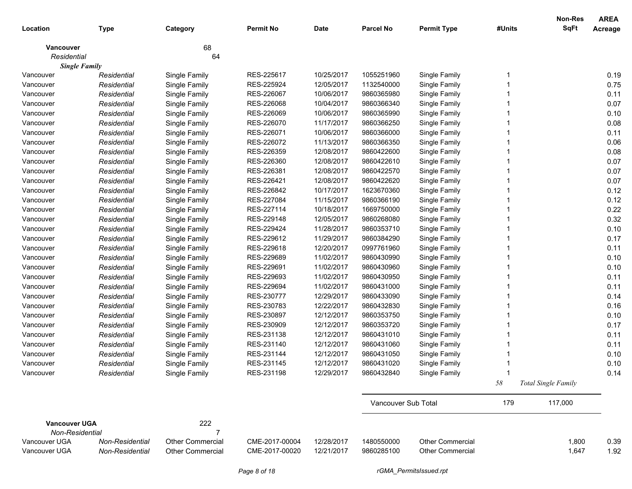|                                         |                 |                  |                  |             |                     |                         |        | Non-Res             | <b>AREA</b>    |
|-----------------------------------------|-----------------|------------------|------------------|-------------|---------------------|-------------------------|--------|---------------------|----------------|
| Location                                | <b>Type</b>     | Category         | <b>Permit No</b> | <b>Date</b> | <b>Parcel No</b>    | <b>Permit Type</b>      | #Units | <b>SqFt</b>         | <b>Acreage</b> |
| Vancouver                               |                 | 68               |                  |             |                     |                         |        |                     |                |
| Residential                             |                 | 64               |                  |             |                     |                         |        |                     |                |
| <b>Single Family</b>                    |                 |                  |                  |             |                     |                         |        |                     |                |
| Vancouver                               | Residential     | Single Family    | RES-225617       | 10/25/2017  | 1055251960          | Single Family           |        |                     | 0.19           |
| Vancouver                               | Residential     | Single Family    | RES-225924       | 12/05/2017  | 1132540000          | Single Family           |        |                     | 0.75           |
| Vancouver                               | Residential     | Single Family    | RES-226067       | 10/06/2017  | 9860365980          | Single Family           |        |                     | 0.11           |
| Vancouver                               | Residential     | Single Family    | RES-226068       | 10/04/2017  | 9860366340          | Single Family           |        |                     | 0.07           |
| Vancouver                               | Residential     | Single Family    | RES-226069       | 10/06/2017  | 9860365990          | Single Family           |        |                     | 0.10           |
| Vancouver                               | Residential     | Single Family    | RES-226070       | 11/17/2017  | 9860366250          | Single Family           |        |                     | 0.08           |
| Vancouver                               | Residential     | Single Family    | RES-226071       | 10/06/2017  | 9860366000          | Single Family           |        |                     | 0.11           |
| Vancouver                               | Residential     | Single Family    | RES-226072       | 11/13/2017  | 9860366350          | Single Family           |        |                     | 0.06           |
| Vancouver                               | Residential     | Single Family    | RES-226359       | 12/08/2017  | 9860422600          | Single Family           |        |                     | 0.08           |
| Vancouver                               | Residential     | Single Family    | RES-226360       | 12/08/2017  | 9860422610          | Single Family           |        |                     | 0.07           |
| Vancouver                               | Residential     | Single Family    | RES-226381       | 12/08/2017  | 9860422570          | Single Family           |        |                     | 0.07           |
| Vancouver                               | Residential     | Single Family    | RES-226421       | 12/08/2017  | 9860422620          | Single Family           |        |                     | 0.07           |
| Vancouver                               | Residential     | Single Family    | RES-226842       | 10/17/2017  | 1623670360          | Single Family           |        |                     | 0.12           |
| Vancouver                               | Residential     | Single Family    | RES-227084       | 11/15/2017  | 9860366190          | Single Family           |        |                     | 0.12           |
| Vancouver                               | Residential     | Single Family    | RES-227114       | 10/18/2017  | 1669750000          | Single Family           |        |                     | 0.22           |
| Vancouver                               | Residential     | Single Family    | RES-229148       | 12/05/2017  | 9860268080          | Single Family           |        |                     | 0.32           |
| Vancouver                               | Residential     | Single Family    | RES-229424       | 11/28/2017  | 9860353710          | Single Family           |        |                     | 0.10           |
| Vancouver                               | Residential     | Single Family    | RES-229612       | 11/29/2017  | 9860384290          | Single Family           |        |                     | 0.17           |
| Vancouver                               | Residential     | Single Family    | RES-229618       | 12/20/2017  | 0997761960          | Single Family           |        |                     | 0.11           |
| Vancouver                               | Residential     | Single Family    | RES-229689       | 11/02/2017  | 9860430990          | Single Family           |        |                     | 0.10           |
| Vancouver                               | Residential     | Single Family    | RES-229691       | 11/02/2017  | 9860430960          | Single Family           |        |                     | 0.10           |
| Vancouver                               | Residential     | Single Family    | RES-229693       | 11/02/2017  | 9860430950          | Single Family           |        |                     | 0.11           |
| Vancouver                               | Residential     | Single Family    | RES-229694       | 11/02/2017  | 9860431000          | Single Family           |        |                     | 0.11           |
| Vancouver                               | Residential     | Single Family    | RES-230777       | 12/29/2017  | 9860433090          | Single Family           |        |                     | 0.14           |
| Vancouver                               | Residential     | Single Family    | RES-230783       | 12/22/2017  | 9860432830          | Single Family           |        |                     | 0.16           |
| Vancouver                               | Residential     | Single Family    | RES-230897       | 12/12/2017  | 9860353750          | Single Family           |        |                     | 0.10           |
| Vancouver                               | Residential     | Single Family    | RES-230909       | 12/12/2017  | 9860353720          | Single Family           |        |                     | 0.17           |
| Vancouver                               | Residential     | Single Family    | RES-231138       | 12/12/2017  | 9860431010          | Single Family           |        |                     | 0.11           |
| Vancouver                               | Residential     | Single Family    | RES-231140       | 12/12/2017  | 9860431060          | Single Family           |        |                     | 0.11           |
| Vancouver                               | Residential     | Single Family    | RES-231144       | 12/12/2017  | 9860431050          | Single Family           |        |                     | 0.10           |
| Vancouver                               | Residential     | Single Family    | RES-231145       | 12/12/2017  | 9860431020          | Single Family           |        |                     | 0.10           |
| Vancouver                               | Residential     | Single Family    | RES-231198       | 12/29/2017  | 9860432840          | Single Family           |        |                     | 0.14           |
|                                         |                 |                  |                  |             |                     |                         | 58     | Total Single Family |                |
|                                         |                 |                  |                  |             | Vancouver Sub Total |                         | 179    | 117,000             |                |
| <b>Vancouver UGA</b><br>Non-Residential |                 | 222<br>7         |                  |             |                     |                         |        |                     |                |
| Vancouver UGA                           | Non-Residential | Other Commercial | CME-2017-00004   | 12/28/2017  | 1480550000          | <b>Other Commercial</b> |        | 1,800               | 0.39           |
| Vancouver UGA                           | Non-Residential | Other Commercial | CME-2017-00020   | 12/21/2017  | 9860285100          | <b>Other Commercial</b> |        | 1,647               | 1.92           |
|                                         |                 |                  | Page 8 of 18     |             |                     | rGMA_PermitsIssued.rpt  |        |                     |                |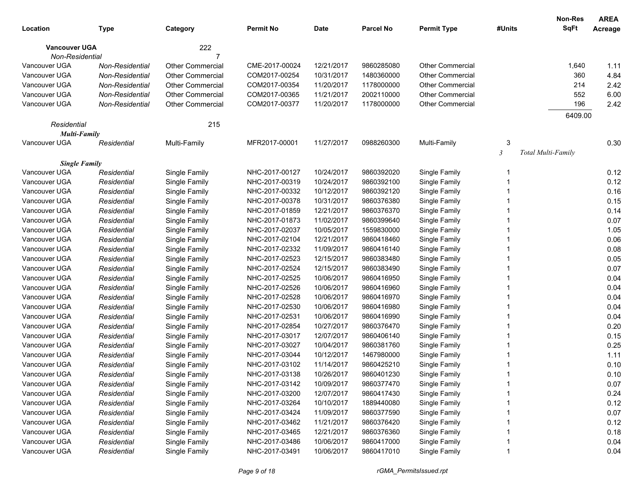|                                |                 |                         |                                  |             |                          |                         |                | <b>Non-Res</b>            | <b>AREA</b> |
|--------------------------------|-----------------|-------------------------|----------------------------------|-------------|--------------------------|-------------------------|----------------|---------------------------|-------------|
| Location                       | <b>Type</b>     | Category                | <b>Permit No</b>                 | <b>Date</b> | <b>Parcel No</b>         | <b>Permit Type</b>      | #Units         | <b>SqFt</b>               | Acreage     |
| <b>Vancouver UGA</b>           |                 | 222                     |                                  |             |                          |                         |                |                           |             |
| Non-Residential                |                 |                         |                                  |             |                          |                         |                |                           |             |
| Vancouver UGA                  | Non-Residential | <b>Other Commercial</b> | CME-2017-00024                   | 12/21/2017  | 9860285080               | <b>Other Commercial</b> |                | 1,640                     | 1.11        |
| Vancouver UGA                  | Non-Residential | <b>Other Commercial</b> | COM2017-00254                    | 10/31/2017  | 1480360000               | <b>Other Commercial</b> |                | 360                       | 4.84        |
| Vancouver UGA                  | Non-Residential | <b>Other Commercial</b> | COM2017-00354                    | 11/20/2017  | 1178000000               | <b>Other Commercial</b> |                | 214                       | 2.42        |
| Vancouver UGA                  | Non-Residential | <b>Other Commercial</b> | COM2017-00365                    | 11/21/2017  | 2002110000               | <b>Other Commercial</b> |                | 552                       | 6.00        |
| Vancouver UGA                  | Non-Residential | <b>Other Commercial</b> | COM2017-00377                    | 11/20/2017  | 1178000000               | <b>Other Commercial</b> |                | 196                       | 2.42        |
|                                |                 |                         |                                  |             |                          |                         |                | 6409.00                   |             |
| Residential                    |                 | 215                     |                                  |             |                          |                         |                |                           |             |
| <b>Multi-Family</b>            |                 |                         |                                  |             |                          |                         |                |                           |             |
| Vancouver UGA                  | Residential     | Multi-Family            | MFR2017-00001                    | 11/27/2017  | 0988260300               | Multi-Family            | 3              |                           | 0.30        |
|                                |                 |                         |                                  |             |                          |                         | $\mathfrak{Z}$ | <b>Total Multi-Family</b> |             |
| <b>Single Family</b>           |                 |                         | NHC-2017-00127                   |             |                          |                         |                |                           |             |
| Vancouver UGA<br>Vancouver UGA | Residential     | Single Family           |                                  | 10/24/2017  | 9860392020<br>9860392100 | Single Family           | 1              |                           | 0.12        |
| Vancouver UGA                  | Residential     | Single Family           | NHC-2017-00319<br>NHC-2017-00332 | 10/24/2017  |                          | Single Family           |                |                           | 0.12        |
|                                | Residential     | Single Family           |                                  | 10/12/2017  | 9860392120<br>9860376380 | Single Family           |                |                           | 0.16        |
| Vancouver UGA                  | Residential     | Single Family           | NHC-2017-00378                   | 10/31/2017  |                          | Single Family           |                |                           | 0.15        |
| Vancouver UGA                  | Residential     | Single Family           | NHC-2017-01859                   | 12/21/2017  | 9860376370               | Single Family           |                |                           | 0.14        |
| Vancouver UGA                  | Residential     | Single Family           | NHC-2017-01873                   | 11/02/2017  | 9860399640               | Single Family           |                |                           | 0.07        |
| Vancouver UGA                  | Residential     | Single Family           | NHC-2017-02037                   | 10/05/2017  | 1559830000               | Single Family           |                |                           | 1.05        |
| Vancouver UGA                  | Residential     | Single Family           | NHC-2017-02104                   | 12/21/2017  | 9860418460               | Single Family           |                |                           | 0.06        |
| Vancouver UGA                  | Residential     | Single Family           | NHC-2017-02332                   | 11/09/2017  | 9860416140               | Single Family           |                |                           | 0.08        |
| Vancouver UGA                  | Residential     | Single Family           | NHC-2017-02523                   | 12/15/2017  | 9860383480               | Single Family           |                |                           | 0.05        |
| Vancouver UGA                  | Residential     | Single Family           | NHC-2017-02524                   | 12/15/2017  | 9860383490               | Single Family           |                |                           | 0.07        |
| Vancouver UGA                  | Residential     | Single Family           | NHC-2017-02525                   | 10/06/2017  | 9860416950               | Single Family           |                |                           | 0.04        |
| Vancouver UGA                  | Residential     | Single Family           | NHC-2017-02526                   | 10/06/2017  | 9860416960               | Single Family           |                |                           | 0.04        |
| Vancouver UGA                  | Residential     | Single Family           | NHC-2017-02528                   | 10/06/2017  | 9860416970               | Single Family           |                |                           | 0.04        |
| Vancouver UGA                  | Residential     | Single Family           | NHC-2017-02530                   | 10/06/2017  | 9860416980               | Single Family           |                |                           | 0.04        |
| Vancouver UGA                  | Residential     | Single Family           | NHC-2017-02531                   | 10/06/2017  | 9860416990               | Single Family           |                |                           | 0.04        |
| Vancouver UGA                  | Residential     | Single Family           | NHC-2017-02854                   | 10/27/2017  | 9860376470               | Single Family           |                |                           | 0.20        |
| Vancouver UGA                  | Residential     | Single Family           | NHC-2017-03017                   | 12/07/2017  | 9860406140               | Single Family           |                |                           | 0.15        |
| Vancouver UGA                  | Residential     | Single Family           | NHC-2017-03027                   | 10/04/2017  | 9860381760               | Single Family           |                |                           | 0.25        |
| Vancouver UGA                  | Residential     | Single Family           | NHC-2017-03044                   | 10/12/2017  | 1467980000               | Single Family           |                |                           | 1.11        |
| Vancouver UGA                  | Residential     | Single Family           | NHC-2017-03102                   | 11/14/2017  | 9860425210               | Single Family           |                |                           | 0.10        |
| Vancouver UGA                  | Residential     | Single Family           | NHC-2017-03138                   | 10/26/2017  | 9860401230               | Single Family           |                |                           | 0.10        |
| Vancouver UGA                  | Residential     | Single Family           | NHC-2017-03142                   | 10/09/2017  | 9860377470               | Single Family           |                |                           | 0.07        |
| Vancouver UGA                  | Residential     | Single Family           | NHC-2017-03200                   | 12/07/2017  | 9860417430               | Single Family           |                |                           | 0.24        |
| Vancouver UGA                  | Residential     | Single Family           | NHC-2017-03264                   | 10/10/2017  | 1889440080               | Single Family           |                |                           | 0.12        |
| Vancouver UGA                  | Residential     | Single Family           | NHC-2017-03424                   | 11/09/2017  | 9860377590               | Single Family           |                |                           | 0.07        |
| Vancouver UGA                  | Residential     | Single Family           | NHC-2017-03462                   | 11/21/2017  | 9860376420               | Single Family           |                |                           | 0.12        |
| Vancouver UGA                  | Residential     | Single Family           | NHC-2017-03465                   | 12/21/2017  | 9860376360               | Single Family           |                |                           | 0.18        |
| Vancouver UGA                  | Residential     | Single Family           | NHC-2017-03486                   | 10/06/2017  | 9860417000               | Single Family           |                |                           | 0.04        |
| Vancouver UGA                  | Residential     | Single Family           | NHC-2017-03491                   | 10/06/2017  | 9860417010               | Single Family           |                |                           | 0.04        |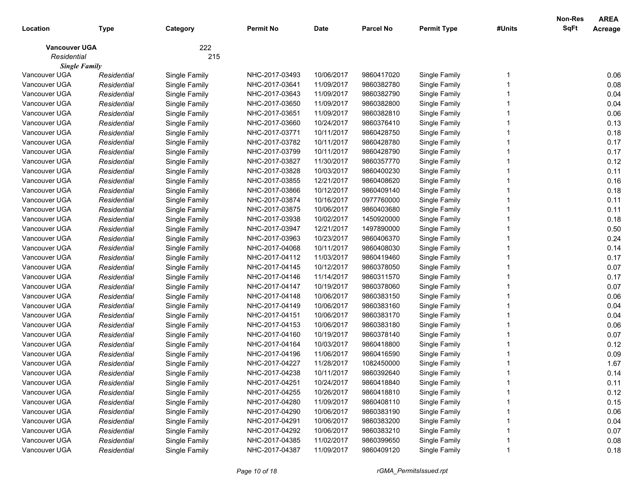|                      |             |               |                  |            |                  |                    |        | <b>Non-Res</b> | <b>AREA</b> |
|----------------------|-------------|---------------|------------------|------------|------------------|--------------------|--------|----------------|-------------|
| Location             | Type        | Category      | <b>Permit No</b> | Date       | <b>Parcel No</b> | <b>Permit Type</b> | #Units | <b>SqFt</b>    | Acreage     |
| <b>Vancouver UGA</b> |             | 222           |                  |            |                  |                    |        |                |             |
| Residential          |             | 215           |                  |            |                  |                    |        |                |             |
| <b>Single Family</b> |             |               |                  |            |                  |                    |        |                |             |
| Vancouver UGA        | Residential | Single Family | NHC-2017-03493   | 10/06/2017 | 9860417020       | Single Family      |        |                | 0.06        |
| Vancouver UGA        | Residential | Single Family | NHC-2017-03641   | 11/09/2017 | 9860382780       | Single Family      |        |                | 0.08        |
| Vancouver UGA        | Residential | Single Family | NHC-2017-03643   | 11/09/2017 | 9860382790       | Single Family      |        |                | 0.04        |
| Vancouver UGA        | Residential | Single Family | NHC-2017-03650   | 11/09/2017 | 9860382800       | Single Family      |        |                | 0.04        |
| Vancouver UGA        | Residential | Single Family | NHC-2017-03651   | 11/09/2017 | 9860382810       | Single Family      |        |                | 0.06        |
| Vancouver UGA        | Residential | Single Family | NHC-2017-03660   | 10/24/2017 | 9860376410       | Single Family      |        |                | 0.13        |
| Vancouver UGA        | Residential | Single Family | NHC-2017-03771   | 10/11/2017 | 9860428750       | Single Family      |        |                | 0.18        |
| Vancouver UGA        | Residential | Single Family | NHC-2017-03782   | 10/11/2017 | 9860428780       | Single Family      |        |                | 0.17        |
| Vancouver UGA        | Residential | Single Family | NHC-2017-03799   | 10/11/2017 | 9860428790       | Single Family      |        |                | 0.17        |
| Vancouver UGA        | Residential | Single Family | NHC-2017-03827   | 11/30/2017 | 9860357770       | Single Family      |        |                | 0.12        |
| Vancouver UGA        | Residential | Single Family | NHC-2017-03828   | 10/03/2017 | 9860400230       | Single Family      |        |                | 0.11        |
| Vancouver UGA        | Residential | Single Family | NHC-2017-03855   | 12/21/2017 | 9860408620       | Single Family      |        |                | 0.16        |
| Vancouver UGA        | Residential | Single Family | NHC-2017-03866   | 10/12/2017 | 9860409140       | Single Family      |        |                | 0.18        |
| Vancouver UGA        | Residential | Single Family | NHC-2017-03874   | 10/16/2017 | 0977760000       | Single Family      |        |                | 0.11        |
| Vancouver UGA        | Residential | Single Family | NHC-2017-03875   | 10/06/2017 | 9860403680       | Single Family      |        |                | 0.11        |
| Vancouver UGA        | Residential | Single Family | NHC-2017-03938   | 10/02/2017 | 1450920000       | Single Family      |        |                | 0.18        |
| Vancouver UGA        | Residential | Single Family | NHC-2017-03947   | 12/21/2017 | 1497890000       | Single Family      |        |                | 0.50        |
| Vancouver UGA        | Residential | Single Family | NHC-2017-03963   | 10/23/2017 | 9860406370       | Single Family      |        |                | 0.24        |
| Vancouver UGA        | Residential | Single Family | NHC-2017-04068   | 10/11/2017 | 9860408030       | Single Family      |        |                | 0.14        |
| Vancouver UGA        | Residential | Single Family | NHC-2017-04112   | 11/03/2017 | 9860419460       | Single Family      |        |                | 0.17        |
| Vancouver UGA        | Residential | Single Family | NHC-2017-04145   | 10/12/2017 | 9860378050       | Single Family      |        |                | 0.07        |
| Vancouver UGA        | Residential | Single Family | NHC-2017-04146   | 11/14/2017 | 9860311570       | Single Family      |        |                | 0.17        |
| Vancouver UGA        | Residential | Single Family | NHC-2017-04147   | 10/19/2017 | 9860378060       | Single Family      |        |                | 0.07        |
| Vancouver UGA        | Residential | Single Family | NHC-2017-04148   | 10/06/2017 | 9860383150       | Single Family      |        |                | 0.06        |
| Vancouver UGA        | Residential | Single Family | NHC-2017-04149   | 10/06/2017 | 9860383160       | Single Family      |        |                | 0.04        |
| Vancouver UGA        | Residential | Single Family | NHC-2017-04151   | 10/06/2017 | 9860383170       | Single Family      |        |                | 0.04        |
| Vancouver UGA        | Residential | Single Family | NHC-2017-04153   | 10/06/2017 | 9860383180       | Single Family      |        |                | 0.06        |
| Vancouver UGA        | Residential | Single Family | NHC-2017-04160   | 10/19/2017 | 9860378140       | Single Family      |        |                | 0.07        |
| Vancouver UGA        | Residential | Single Family | NHC-2017-04164   | 10/03/2017 | 9860418800       | Single Family      |        |                | 0.12        |
| Vancouver UGA        | Residential | Single Family | NHC-2017-04196   | 11/06/2017 | 9860416590       | Single Family      |        |                | 0.09        |
| Vancouver UGA        | Residential | Single Family | NHC-2017-04227   | 11/28/2017 | 1082450000       | Single Family      |        |                | 1.67        |
| Vancouver UGA        | Residential | Single Family | NHC-2017-04238   | 10/11/2017 | 9860392640       | Single Family      |        |                | 0.14        |
| Vancouver UGA        | Residential | Single Family | NHC-2017-04251   | 10/24/2017 | 9860418840       | Single Family      |        |                | 0.11        |
| Vancouver UGA        | Residential | Single Family | NHC-2017-04255   | 10/26/2017 | 9860418810       | Single Family      |        |                | 0.12        |
| Vancouver UGA        | Residential | Single Family | NHC-2017-04280   | 11/09/2017 | 9860408110       | Single Family      |        |                | 0.15        |
| Vancouver UGA        | Residential | Single Family | NHC-2017-04290   | 10/06/2017 | 9860383190       | Single Family      |        |                | 0.06        |
| Vancouver UGA        | Residential | Single Family | NHC-2017-04291   | 10/06/2017 | 9860383200       | Single Family      |        |                | 0.04        |
| Vancouver UGA        | Residential | Single Family | NHC-2017-04292   | 10/06/2017 | 9860383210       | Single Family      |        |                | 0.07        |
| Vancouver UGA        | Residential | Single Family | NHC-2017-04385   | 11/02/2017 | 9860399650       | Single Family      |        |                | 0.08        |
| Vancouver UGA        | Residential | Single Family | NHC-2017-04387   | 11/09/2017 | 9860409120       | Single Family      |        |                | 0.18        |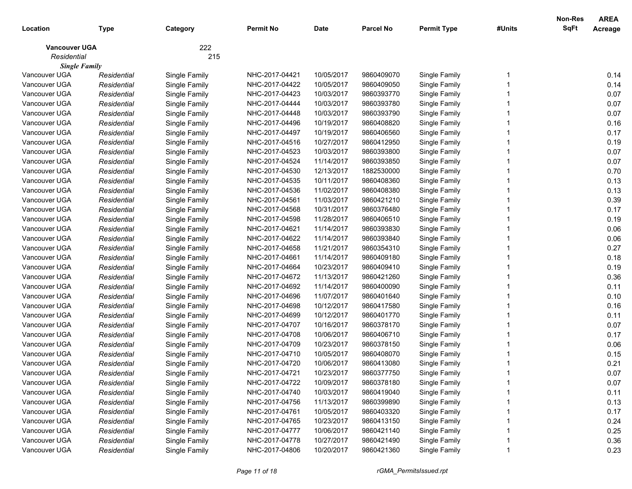| 222<br><b>Vancouver UGA</b><br>Residential<br>215<br><b>Single Family</b><br>Vancouver UGA<br>10/05/2017<br>9860409070<br>0.14<br>Single Family<br>NHC-2017-04421<br>Single Family<br>Residential<br>10/05/2017<br>0.14<br>Vancouver UGA<br>Residential<br>Single Family<br>NHC-2017-04422<br>9860409050<br>Single Family<br>Vancouver UGA<br>NHC-2017-04423<br>10/03/2017<br>9860393770<br>Single Family<br>0.07<br>Residential<br>Single Family<br>0.07<br>Vancouver UGA<br>NHC-2017-04444<br>Residential<br>Single Family<br>10/03/2017<br>9860393780<br>Single Family<br>0.07<br>Vancouver UGA<br>NHC-2017-04448<br>Residential<br>Single Family<br>10/03/2017<br>9860393790<br>Single Family<br>0.16<br>Vancouver UGA<br>Residential<br>Single Family<br>NHC-2017-04496<br>10/19/2017<br>9860408820<br>Single Family<br>0.17<br>Vancouver UGA<br>Residential<br>Single Family<br>NHC-2017-04497<br>10/19/2017<br>9860406560<br>Single Family<br>0.19<br>Vancouver UGA<br>10/27/2017<br>Residential<br>Single Family<br>NHC-2017-04516<br>9860412950<br>Single Family<br>0.07<br>Vancouver UGA<br>NHC-2017-04523<br>Residential<br>Single Family<br>10/03/2017<br>9860393800<br>Single Family<br>Vancouver UGA<br>NHC-2017-04524<br>0.07<br>11/14/2017<br>9860393850<br>Single Family<br>Residential<br>Single Family<br>NHC-2017-04530<br>0.70<br>Vancouver UGA<br>12/13/2017<br>1882530000<br>Single Family<br>Residential<br>Single Family<br>0.13<br>Vancouver UGA<br>NHC-2017-04535<br>Residential<br>Single Family<br>10/11/2017<br>9860408360<br>Single Family<br>0.13<br>Vancouver UGA<br>NHC-2017-04536<br>Residential<br>Single Family<br>11/02/2017<br>9860408380<br>Single Family<br>0.39<br>Vancouver UGA<br>Residential<br>Single Family<br>NHC-2017-04561<br>11/03/2017<br>9860421210<br>Single Family<br>0.17<br>Vancouver UGA<br>Residential<br>Single Family<br>NHC-2017-04568<br>10/31/2017<br>9860376480<br>Single Family<br>0.19<br>Vancouver UGA<br>Residential<br>Single Family<br>NHC-2017-04598<br>11/28/2017<br>9860406510<br>Single Family<br>0.06<br>Vancouver UGA<br>Residential<br>Single Family<br>NHC-2017-04621<br>11/14/2017<br>9860393830<br>Single Family<br>0.06<br>Vancouver UGA<br>NHC-2017-04622<br>11/14/2017<br>9860393840<br>Single Family<br>Residential<br>Single Family<br>0.27<br>Vancouver UGA<br>NHC-2017-04658<br>11/21/2017<br>Residential<br>Single Family<br>9860354310<br>Single Family<br>0.18<br>Vancouver UGA<br>NHC-2017-04661<br>Residential<br>Single Family<br>11/14/2017<br>9860409180<br>Single Family<br>0.19<br>Vancouver UGA<br>NHC-2017-04664<br>Residential<br>Single Family<br>10/23/2017<br>9860409410<br>Single Family<br>0.36<br>Vancouver UGA<br>NHC-2017-04672<br>11/13/2017<br>Residential<br>Single Family<br>9860421260<br>Single Family<br>0.11<br>Vancouver UGA<br>NHC-2017-04692<br>11/14/2017<br>Residential<br>Single Family<br>9860400090<br>Single Family<br>0.10<br>Vancouver UGA<br>NHC-2017-04696<br>11/07/2017<br>Residential<br>Single Family<br>9860401640<br>Single Family<br>Vancouver UGA<br>NHC-2017-04698<br>10/12/2017<br>0.16<br>9860417580<br>Single Family<br>Residential<br>Single Family<br>10/12/2017<br>Vancouver UGA<br>NHC-2017-04699<br>9860401770<br>Single Family<br>0.11<br>Residential<br>Single Family<br>Vancouver UGA<br>NHC-2017-04707<br>10/16/2017<br>0.07<br>Residential<br>Single Family<br>9860378170<br>Single Family<br>Vancouver UGA<br>NHC-2017-04708<br>10/06/2017<br>0.17<br>Residential<br>Single Family<br>9860406710<br>Single Family<br>NHC-2017-04709<br>10/23/2017<br>0.06<br>Vancouver UGA<br>Residential<br>Single Family<br>9860378150<br>Single Family<br>NHC-2017-04710<br>10/05/2017<br>0.15<br>Vancouver UGA<br>Residential<br>Single Family<br>9860408070<br>Single Family<br>0.21<br>Vancouver UGA<br>Single Family<br>NHC-2017-04720<br>10/06/2017<br>9860413080<br>Single Family<br>Residential<br>Vancouver UGA<br>NHC-2017-04721<br>10/23/2017<br>Single Family<br>Residential<br>9860377750<br>0.07<br>Single Family<br>10/09/2017<br>9860378180<br>Single Family<br>Vancouver UGA<br>NHC-2017-04722<br>0.07<br>Residential<br>Single Family<br>0.11<br>Vancouver UGA<br>Single Family<br>NHC-2017-04740<br>10/03/2017<br>9860419040<br>Single Family<br>Residential<br>0.13<br>Vancouver UGA<br>Single Family<br>NHC-2017-04756<br>11/13/2017<br>Single Family<br>Residential<br>9860399890<br>Vancouver UGA<br>Single Family<br>NHC-2017-04761<br>10/05/2017<br>Single Family<br>0.17<br>Residential<br>9860403320<br>Vancouver UGA<br>Single Family<br>10/23/2017<br>Single Family<br>0.24<br>Residential<br>NHC-2017-04765<br>9860413150<br>0.25<br>Vancouver UGA<br>Single Family<br>10/06/2017<br>Single Family<br>Residential<br>NHC-2017-04777<br>9860421140<br>0.36<br>Vancouver UGA<br>Single Family<br>NHC-2017-04778<br>10/27/2017<br>Single Family<br>Residential<br>9860421490 | Location      | <b>Type</b> | Category      | <b>Permit No</b> | <b>Date</b> | <b>Parcel No</b> | <b>Permit Type</b> | #Units | Non-Res<br>SqFt | <b>AREA</b><br>Acreage |
|---------------------------------------------------------------------------------------------------------------------------------------------------------------------------------------------------------------------------------------------------------------------------------------------------------------------------------------------------------------------------------------------------------------------------------------------------------------------------------------------------------------------------------------------------------------------------------------------------------------------------------------------------------------------------------------------------------------------------------------------------------------------------------------------------------------------------------------------------------------------------------------------------------------------------------------------------------------------------------------------------------------------------------------------------------------------------------------------------------------------------------------------------------------------------------------------------------------------------------------------------------------------------------------------------------------------------------------------------------------------------------------------------------------------------------------------------------------------------------------------------------------------------------------------------------------------------------------------------------------------------------------------------------------------------------------------------------------------------------------------------------------------------------------------------------------------------------------------------------------------------------------------------------------------------------------------------------------------------------------------------------------------------------------------------------------------------------------------------------------------------------------------------------------------------------------------------------------------------------------------------------------------------------------------------------------------------------------------------------------------------------------------------------------------------------------------------------------------------------------------------------------------------------------------------------------------------------------------------------------------------------------------------------------------------------------------------------------------------------------------------------------------------------------------------------------------------------------------------------------------------------------------------------------------------------------------------------------------------------------------------------------------------------------------------------------------------------------------------------------------------------------------------------------------------------------------------------------------------------------------------------------------------------------------------------------------------------------------------------------------------------------------------------------------------------------------------------------------------------------------------------------------------------------------------------------------------------------------------------------------------------------------------------------------------------------------------------------------------------------------------------------------------------------------------------------------------------------------------------------------------------------------------------------------------------------------------------------------------------------------------------------------------------------------------------------------------------------------------------------------------------------------------------------------------------------------------------------------------------------------------------------------------------------------------------------------------------------------------------------------------------------------------------------------------------------------------------------------------------------------------------------------------------------------------------------------------------------------------------------------------------------------------------------------------------------------------------------------------------------------------------------------------------------------------------------------------------------------------------------------------------------------------------------------------------------------------|---------------|-------------|---------------|------------------|-------------|------------------|--------------------|--------|-----------------|------------------------|
|                                                                                                                                                                                                                                                                                                                                                                                                                                                                                                                                                                                                                                                                                                                                                                                                                                                                                                                                                                                                                                                                                                                                                                                                                                                                                                                                                                                                                                                                                                                                                                                                                                                                                                                                                                                                                                                                                                                                                                                                                                                                                                                                                                                                                                                                                                                                                                                                                                                                                                                                                                                                                                                                                                                                                                                                                                                                                                                                                                                                                                                                                                                                                                                                                                                                                                                                                                                                                                                                                                                                                                                                                                                                                                                                                                                                                                                                                                                                                                                                                                                                                                                                                                                                                                                                                                                                                                                                                                                                                                                                                                                                                                                                                                                                                                                                                                                                                                                                                   |               |             |               |                  |             |                  |                    |        |                 |                        |
|                                                                                                                                                                                                                                                                                                                                                                                                                                                                                                                                                                                                                                                                                                                                                                                                                                                                                                                                                                                                                                                                                                                                                                                                                                                                                                                                                                                                                                                                                                                                                                                                                                                                                                                                                                                                                                                                                                                                                                                                                                                                                                                                                                                                                                                                                                                                                                                                                                                                                                                                                                                                                                                                                                                                                                                                                                                                                                                                                                                                                                                                                                                                                                                                                                                                                                                                                                                                                                                                                                                                                                                                                                                                                                                                                                                                                                                                                                                                                                                                                                                                                                                                                                                                                                                                                                                                                                                                                                                                                                                                                                                                                                                                                                                                                                                                                                                                                                                                                   |               |             |               |                  |             |                  |                    |        |                 |                        |
|                                                                                                                                                                                                                                                                                                                                                                                                                                                                                                                                                                                                                                                                                                                                                                                                                                                                                                                                                                                                                                                                                                                                                                                                                                                                                                                                                                                                                                                                                                                                                                                                                                                                                                                                                                                                                                                                                                                                                                                                                                                                                                                                                                                                                                                                                                                                                                                                                                                                                                                                                                                                                                                                                                                                                                                                                                                                                                                                                                                                                                                                                                                                                                                                                                                                                                                                                                                                                                                                                                                                                                                                                                                                                                                                                                                                                                                                                                                                                                                                                                                                                                                                                                                                                                                                                                                                                                                                                                                                                                                                                                                                                                                                                                                                                                                                                                                                                                                                                   |               |             |               |                  |             |                  |                    |        |                 |                        |
|                                                                                                                                                                                                                                                                                                                                                                                                                                                                                                                                                                                                                                                                                                                                                                                                                                                                                                                                                                                                                                                                                                                                                                                                                                                                                                                                                                                                                                                                                                                                                                                                                                                                                                                                                                                                                                                                                                                                                                                                                                                                                                                                                                                                                                                                                                                                                                                                                                                                                                                                                                                                                                                                                                                                                                                                                                                                                                                                                                                                                                                                                                                                                                                                                                                                                                                                                                                                                                                                                                                                                                                                                                                                                                                                                                                                                                                                                                                                                                                                                                                                                                                                                                                                                                                                                                                                                                                                                                                                                                                                                                                                                                                                                                                                                                                                                                                                                                                                                   |               |             |               |                  |             |                  |                    |        |                 |                        |
|                                                                                                                                                                                                                                                                                                                                                                                                                                                                                                                                                                                                                                                                                                                                                                                                                                                                                                                                                                                                                                                                                                                                                                                                                                                                                                                                                                                                                                                                                                                                                                                                                                                                                                                                                                                                                                                                                                                                                                                                                                                                                                                                                                                                                                                                                                                                                                                                                                                                                                                                                                                                                                                                                                                                                                                                                                                                                                                                                                                                                                                                                                                                                                                                                                                                                                                                                                                                                                                                                                                                                                                                                                                                                                                                                                                                                                                                                                                                                                                                                                                                                                                                                                                                                                                                                                                                                                                                                                                                                                                                                                                                                                                                                                                                                                                                                                                                                                                                                   |               |             |               |                  |             |                  |                    |        |                 |                        |
|                                                                                                                                                                                                                                                                                                                                                                                                                                                                                                                                                                                                                                                                                                                                                                                                                                                                                                                                                                                                                                                                                                                                                                                                                                                                                                                                                                                                                                                                                                                                                                                                                                                                                                                                                                                                                                                                                                                                                                                                                                                                                                                                                                                                                                                                                                                                                                                                                                                                                                                                                                                                                                                                                                                                                                                                                                                                                                                                                                                                                                                                                                                                                                                                                                                                                                                                                                                                                                                                                                                                                                                                                                                                                                                                                                                                                                                                                                                                                                                                                                                                                                                                                                                                                                                                                                                                                                                                                                                                                                                                                                                                                                                                                                                                                                                                                                                                                                                                                   |               |             |               |                  |             |                  |                    |        |                 |                        |
|                                                                                                                                                                                                                                                                                                                                                                                                                                                                                                                                                                                                                                                                                                                                                                                                                                                                                                                                                                                                                                                                                                                                                                                                                                                                                                                                                                                                                                                                                                                                                                                                                                                                                                                                                                                                                                                                                                                                                                                                                                                                                                                                                                                                                                                                                                                                                                                                                                                                                                                                                                                                                                                                                                                                                                                                                                                                                                                                                                                                                                                                                                                                                                                                                                                                                                                                                                                                                                                                                                                                                                                                                                                                                                                                                                                                                                                                                                                                                                                                                                                                                                                                                                                                                                                                                                                                                                                                                                                                                                                                                                                                                                                                                                                                                                                                                                                                                                                                                   |               |             |               |                  |             |                  |                    |        |                 |                        |
|                                                                                                                                                                                                                                                                                                                                                                                                                                                                                                                                                                                                                                                                                                                                                                                                                                                                                                                                                                                                                                                                                                                                                                                                                                                                                                                                                                                                                                                                                                                                                                                                                                                                                                                                                                                                                                                                                                                                                                                                                                                                                                                                                                                                                                                                                                                                                                                                                                                                                                                                                                                                                                                                                                                                                                                                                                                                                                                                                                                                                                                                                                                                                                                                                                                                                                                                                                                                                                                                                                                                                                                                                                                                                                                                                                                                                                                                                                                                                                                                                                                                                                                                                                                                                                                                                                                                                                                                                                                                                                                                                                                                                                                                                                                                                                                                                                                                                                                                                   |               |             |               |                  |             |                  |                    |        |                 |                        |
|                                                                                                                                                                                                                                                                                                                                                                                                                                                                                                                                                                                                                                                                                                                                                                                                                                                                                                                                                                                                                                                                                                                                                                                                                                                                                                                                                                                                                                                                                                                                                                                                                                                                                                                                                                                                                                                                                                                                                                                                                                                                                                                                                                                                                                                                                                                                                                                                                                                                                                                                                                                                                                                                                                                                                                                                                                                                                                                                                                                                                                                                                                                                                                                                                                                                                                                                                                                                                                                                                                                                                                                                                                                                                                                                                                                                                                                                                                                                                                                                                                                                                                                                                                                                                                                                                                                                                                                                                                                                                                                                                                                                                                                                                                                                                                                                                                                                                                                                                   |               |             |               |                  |             |                  |                    |        |                 |                        |
|                                                                                                                                                                                                                                                                                                                                                                                                                                                                                                                                                                                                                                                                                                                                                                                                                                                                                                                                                                                                                                                                                                                                                                                                                                                                                                                                                                                                                                                                                                                                                                                                                                                                                                                                                                                                                                                                                                                                                                                                                                                                                                                                                                                                                                                                                                                                                                                                                                                                                                                                                                                                                                                                                                                                                                                                                                                                                                                                                                                                                                                                                                                                                                                                                                                                                                                                                                                                                                                                                                                                                                                                                                                                                                                                                                                                                                                                                                                                                                                                                                                                                                                                                                                                                                                                                                                                                                                                                                                                                                                                                                                                                                                                                                                                                                                                                                                                                                                                                   |               |             |               |                  |             |                  |                    |        |                 |                        |
|                                                                                                                                                                                                                                                                                                                                                                                                                                                                                                                                                                                                                                                                                                                                                                                                                                                                                                                                                                                                                                                                                                                                                                                                                                                                                                                                                                                                                                                                                                                                                                                                                                                                                                                                                                                                                                                                                                                                                                                                                                                                                                                                                                                                                                                                                                                                                                                                                                                                                                                                                                                                                                                                                                                                                                                                                                                                                                                                                                                                                                                                                                                                                                                                                                                                                                                                                                                                                                                                                                                                                                                                                                                                                                                                                                                                                                                                                                                                                                                                                                                                                                                                                                                                                                                                                                                                                                                                                                                                                                                                                                                                                                                                                                                                                                                                                                                                                                                                                   |               |             |               |                  |             |                  |                    |        |                 |                        |
|                                                                                                                                                                                                                                                                                                                                                                                                                                                                                                                                                                                                                                                                                                                                                                                                                                                                                                                                                                                                                                                                                                                                                                                                                                                                                                                                                                                                                                                                                                                                                                                                                                                                                                                                                                                                                                                                                                                                                                                                                                                                                                                                                                                                                                                                                                                                                                                                                                                                                                                                                                                                                                                                                                                                                                                                                                                                                                                                                                                                                                                                                                                                                                                                                                                                                                                                                                                                                                                                                                                                                                                                                                                                                                                                                                                                                                                                                                                                                                                                                                                                                                                                                                                                                                                                                                                                                                                                                                                                                                                                                                                                                                                                                                                                                                                                                                                                                                                                                   |               |             |               |                  |             |                  |                    |        |                 |                        |
|                                                                                                                                                                                                                                                                                                                                                                                                                                                                                                                                                                                                                                                                                                                                                                                                                                                                                                                                                                                                                                                                                                                                                                                                                                                                                                                                                                                                                                                                                                                                                                                                                                                                                                                                                                                                                                                                                                                                                                                                                                                                                                                                                                                                                                                                                                                                                                                                                                                                                                                                                                                                                                                                                                                                                                                                                                                                                                                                                                                                                                                                                                                                                                                                                                                                                                                                                                                                                                                                                                                                                                                                                                                                                                                                                                                                                                                                                                                                                                                                                                                                                                                                                                                                                                                                                                                                                                                                                                                                                                                                                                                                                                                                                                                                                                                                                                                                                                                                                   |               |             |               |                  |             |                  |                    |        |                 |                        |
|                                                                                                                                                                                                                                                                                                                                                                                                                                                                                                                                                                                                                                                                                                                                                                                                                                                                                                                                                                                                                                                                                                                                                                                                                                                                                                                                                                                                                                                                                                                                                                                                                                                                                                                                                                                                                                                                                                                                                                                                                                                                                                                                                                                                                                                                                                                                                                                                                                                                                                                                                                                                                                                                                                                                                                                                                                                                                                                                                                                                                                                                                                                                                                                                                                                                                                                                                                                                                                                                                                                                                                                                                                                                                                                                                                                                                                                                                                                                                                                                                                                                                                                                                                                                                                                                                                                                                                                                                                                                                                                                                                                                                                                                                                                                                                                                                                                                                                                                                   |               |             |               |                  |             |                  |                    |        |                 |                        |
|                                                                                                                                                                                                                                                                                                                                                                                                                                                                                                                                                                                                                                                                                                                                                                                                                                                                                                                                                                                                                                                                                                                                                                                                                                                                                                                                                                                                                                                                                                                                                                                                                                                                                                                                                                                                                                                                                                                                                                                                                                                                                                                                                                                                                                                                                                                                                                                                                                                                                                                                                                                                                                                                                                                                                                                                                                                                                                                                                                                                                                                                                                                                                                                                                                                                                                                                                                                                                                                                                                                                                                                                                                                                                                                                                                                                                                                                                                                                                                                                                                                                                                                                                                                                                                                                                                                                                                                                                                                                                                                                                                                                                                                                                                                                                                                                                                                                                                                                                   |               |             |               |                  |             |                  |                    |        |                 |                        |
|                                                                                                                                                                                                                                                                                                                                                                                                                                                                                                                                                                                                                                                                                                                                                                                                                                                                                                                                                                                                                                                                                                                                                                                                                                                                                                                                                                                                                                                                                                                                                                                                                                                                                                                                                                                                                                                                                                                                                                                                                                                                                                                                                                                                                                                                                                                                                                                                                                                                                                                                                                                                                                                                                                                                                                                                                                                                                                                                                                                                                                                                                                                                                                                                                                                                                                                                                                                                                                                                                                                                                                                                                                                                                                                                                                                                                                                                                                                                                                                                                                                                                                                                                                                                                                                                                                                                                                                                                                                                                                                                                                                                                                                                                                                                                                                                                                                                                                                                                   |               |             |               |                  |             |                  |                    |        |                 |                        |
|                                                                                                                                                                                                                                                                                                                                                                                                                                                                                                                                                                                                                                                                                                                                                                                                                                                                                                                                                                                                                                                                                                                                                                                                                                                                                                                                                                                                                                                                                                                                                                                                                                                                                                                                                                                                                                                                                                                                                                                                                                                                                                                                                                                                                                                                                                                                                                                                                                                                                                                                                                                                                                                                                                                                                                                                                                                                                                                                                                                                                                                                                                                                                                                                                                                                                                                                                                                                                                                                                                                                                                                                                                                                                                                                                                                                                                                                                                                                                                                                                                                                                                                                                                                                                                                                                                                                                                                                                                                                                                                                                                                                                                                                                                                                                                                                                                                                                                                                                   |               |             |               |                  |             |                  |                    |        |                 |                        |
|                                                                                                                                                                                                                                                                                                                                                                                                                                                                                                                                                                                                                                                                                                                                                                                                                                                                                                                                                                                                                                                                                                                                                                                                                                                                                                                                                                                                                                                                                                                                                                                                                                                                                                                                                                                                                                                                                                                                                                                                                                                                                                                                                                                                                                                                                                                                                                                                                                                                                                                                                                                                                                                                                                                                                                                                                                                                                                                                                                                                                                                                                                                                                                                                                                                                                                                                                                                                                                                                                                                                                                                                                                                                                                                                                                                                                                                                                                                                                                                                                                                                                                                                                                                                                                                                                                                                                                                                                                                                                                                                                                                                                                                                                                                                                                                                                                                                                                                                                   |               |             |               |                  |             |                  |                    |        |                 |                        |
|                                                                                                                                                                                                                                                                                                                                                                                                                                                                                                                                                                                                                                                                                                                                                                                                                                                                                                                                                                                                                                                                                                                                                                                                                                                                                                                                                                                                                                                                                                                                                                                                                                                                                                                                                                                                                                                                                                                                                                                                                                                                                                                                                                                                                                                                                                                                                                                                                                                                                                                                                                                                                                                                                                                                                                                                                                                                                                                                                                                                                                                                                                                                                                                                                                                                                                                                                                                                                                                                                                                                                                                                                                                                                                                                                                                                                                                                                                                                                                                                                                                                                                                                                                                                                                                                                                                                                                                                                                                                                                                                                                                                                                                                                                                                                                                                                                                                                                                                                   |               |             |               |                  |             |                  |                    |        |                 |                        |
|                                                                                                                                                                                                                                                                                                                                                                                                                                                                                                                                                                                                                                                                                                                                                                                                                                                                                                                                                                                                                                                                                                                                                                                                                                                                                                                                                                                                                                                                                                                                                                                                                                                                                                                                                                                                                                                                                                                                                                                                                                                                                                                                                                                                                                                                                                                                                                                                                                                                                                                                                                                                                                                                                                                                                                                                                                                                                                                                                                                                                                                                                                                                                                                                                                                                                                                                                                                                                                                                                                                                                                                                                                                                                                                                                                                                                                                                                                                                                                                                                                                                                                                                                                                                                                                                                                                                                                                                                                                                                                                                                                                                                                                                                                                                                                                                                                                                                                                                                   |               |             |               |                  |             |                  |                    |        |                 |                        |
|                                                                                                                                                                                                                                                                                                                                                                                                                                                                                                                                                                                                                                                                                                                                                                                                                                                                                                                                                                                                                                                                                                                                                                                                                                                                                                                                                                                                                                                                                                                                                                                                                                                                                                                                                                                                                                                                                                                                                                                                                                                                                                                                                                                                                                                                                                                                                                                                                                                                                                                                                                                                                                                                                                                                                                                                                                                                                                                                                                                                                                                                                                                                                                                                                                                                                                                                                                                                                                                                                                                                                                                                                                                                                                                                                                                                                                                                                                                                                                                                                                                                                                                                                                                                                                                                                                                                                                                                                                                                                                                                                                                                                                                                                                                                                                                                                                                                                                                                                   |               |             |               |                  |             |                  |                    |        |                 |                        |
|                                                                                                                                                                                                                                                                                                                                                                                                                                                                                                                                                                                                                                                                                                                                                                                                                                                                                                                                                                                                                                                                                                                                                                                                                                                                                                                                                                                                                                                                                                                                                                                                                                                                                                                                                                                                                                                                                                                                                                                                                                                                                                                                                                                                                                                                                                                                                                                                                                                                                                                                                                                                                                                                                                                                                                                                                                                                                                                                                                                                                                                                                                                                                                                                                                                                                                                                                                                                                                                                                                                                                                                                                                                                                                                                                                                                                                                                                                                                                                                                                                                                                                                                                                                                                                                                                                                                                                                                                                                                                                                                                                                                                                                                                                                                                                                                                                                                                                                                                   |               |             |               |                  |             |                  |                    |        |                 |                        |
|                                                                                                                                                                                                                                                                                                                                                                                                                                                                                                                                                                                                                                                                                                                                                                                                                                                                                                                                                                                                                                                                                                                                                                                                                                                                                                                                                                                                                                                                                                                                                                                                                                                                                                                                                                                                                                                                                                                                                                                                                                                                                                                                                                                                                                                                                                                                                                                                                                                                                                                                                                                                                                                                                                                                                                                                                                                                                                                                                                                                                                                                                                                                                                                                                                                                                                                                                                                                                                                                                                                                                                                                                                                                                                                                                                                                                                                                                                                                                                                                                                                                                                                                                                                                                                                                                                                                                                                                                                                                                                                                                                                                                                                                                                                                                                                                                                                                                                                                                   |               |             |               |                  |             |                  |                    |        |                 |                        |
|                                                                                                                                                                                                                                                                                                                                                                                                                                                                                                                                                                                                                                                                                                                                                                                                                                                                                                                                                                                                                                                                                                                                                                                                                                                                                                                                                                                                                                                                                                                                                                                                                                                                                                                                                                                                                                                                                                                                                                                                                                                                                                                                                                                                                                                                                                                                                                                                                                                                                                                                                                                                                                                                                                                                                                                                                                                                                                                                                                                                                                                                                                                                                                                                                                                                                                                                                                                                                                                                                                                                                                                                                                                                                                                                                                                                                                                                                                                                                                                                                                                                                                                                                                                                                                                                                                                                                                                                                                                                                                                                                                                                                                                                                                                                                                                                                                                                                                                                                   |               |             |               |                  |             |                  |                    |        |                 |                        |
|                                                                                                                                                                                                                                                                                                                                                                                                                                                                                                                                                                                                                                                                                                                                                                                                                                                                                                                                                                                                                                                                                                                                                                                                                                                                                                                                                                                                                                                                                                                                                                                                                                                                                                                                                                                                                                                                                                                                                                                                                                                                                                                                                                                                                                                                                                                                                                                                                                                                                                                                                                                                                                                                                                                                                                                                                                                                                                                                                                                                                                                                                                                                                                                                                                                                                                                                                                                                                                                                                                                                                                                                                                                                                                                                                                                                                                                                                                                                                                                                                                                                                                                                                                                                                                                                                                                                                                                                                                                                                                                                                                                                                                                                                                                                                                                                                                                                                                                                                   |               |             |               |                  |             |                  |                    |        |                 |                        |
|                                                                                                                                                                                                                                                                                                                                                                                                                                                                                                                                                                                                                                                                                                                                                                                                                                                                                                                                                                                                                                                                                                                                                                                                                                                                                                                                                                                                                                                                                                                                                                                                                                                                                                                                                                                                                                                                                                                                                                                                                                                                                                                                                                                                                                                                                                                                                                                                                                                                                                                                                                                                                                                                                                                                                                                                                                                                                                                                                                                                                                                                                                                                                                                                                                                                                                                                                                                                                                                                                                                                                                                                                                                                                                                                                                                                                                                                                                                                                                                                                                                                                                                                                                                                                                                                                                                                                                                                                                                                                                                                                                                                                                                                                                                                                                                                                                                                                                                                                   |               |             |               |                  |             |                  |                    |        |                 |                        |
|                                                                                                                                                                                                                                                                                                                                                                                                                                                                                                                                                                                                                                                                                                                                                                                                                                                                                                                                                                                                                                                                                                                                                                                                                                                                                                                                                                                                                                                                                                                                                                                                                                                                                                                                                                                                                                                                                                                                                                                                                                                                                                                                                                                                                                                                                                                                                                                                                                                                                                                                                                                                                                                                                                                                                                                                                                                                                                                                                                                                                                                                                                                                                                                                                                                                                                                                                                                                                                                                                                                                                                                                                                                                                                                                                                                                                                                                                                                                                                                                                                                                                                                                                                                                                                                                                                                                                                                                                                                                                                                                                                                                                                                                                                                                                                                                                                                                                                                                                   |               |             |               |                  |             |                  |                    |        |                 |                        |
|                                                                                                                                                                                                                                                                                                                                                                                                                                                                                                                                                                                                                                                                                                                                                                                                                                                                                                                                                                                                                                                                                                                                                                                                                                                                                                                                                                                                                                                                                                                                                                                                                                                                                                                                                                                                                                                                                                                                                                                                                                                                                                                                                                                                                                                                                                                                                                                                                                                                                                                                                                                                                                                                                                                                                                                                                                                                                                                                                                                                                                                                                                                                                                                                                                                                                                                                                                                                                                                                                                                                                                                                                                                                                                                                                                                                                                                                                                                                                                                                                                                                                                                                                                                                                                                                                                                                                                                                                                                                                                                                                                                                                                                                                                                                                                                                                                                                                                                                                   |               |             |               |                  |             |                  |                    |        |                 |                        |
|                                                                                                                                                                                                                                                                                                                                                                                                                                                                                                                                                                                                                                                                                                                                                                                                                                                                                                                                                                                                                                                                                                                                                                                                                                                                                                                                                                                                                                                                                                                                                                                                                                                                                                                                                                                                                                                                                                                                                                                                                                                                                                                                                                                                                                                                                                                                                                                                                                                                                                                                                                                                                                                                                                                                                                                                                                                                                                                                                                                                                                                                                                                                                                                                                                                                                                                                                                                                                                                                                                                                                                                                                                                                                                                                                                                                                                                                                                                                                                                                                                                                                                                                                                                                                                                                                                                                                                                                                                                                                                                                                                                                                                                                                                                                                                                                                                                                                                                                                   |               |             |               |                  |             |                  |                    |        |                 |                        |
|                                                                                                                                                                                                                                                                                                                                                                                                                                                                                                                                                                                                                                                                                                                                                                                                                                                                                                                                                                                                                                                                                                                                                                                                                                                                                                                                                                                                                                                                                                                                                                                                                                                                                                                                                                                                                                                                                                                                                                                                                                                                                                                                                                                                                                                                                                                                                                                                                                                                                                                                                                                                                                                                                                                                                                                                                                                                                                                                                                                                                                                                                                                                                                                                                                                                                                                                                                                                                                                                                                                                                                                                                                                                                                                                                                                                                                                                                                                                                                                                                                                                                                                                                                                                                                                                                                                                                                                                                                                                                                                                                                                                                                                                                                                                                                                                                                                                                                                                                   |               |             |               |                  |             |                  |                    |        |                 |                        |
|                                                                                                                                                                                                                                                                                                                                                                                                                                                                                                                                                                                                                                                                                                                                                                                                                                                                                                                                                                                                                                                                                                                                                                                                                                                                                                                                                                                                                                                                                                                                                                                                                                                                                                                                                                                                                                                                                                                                                                                                                                                                                                                                                                                                                                                                                                                                                                                                                                                                                                                                                                                                                                                                                                                                                                                                                                                                                                                                                                                                                                                                                                                                                                                                                                                                                                                                                                                                                                                                                                                                                                                                                                                                                                                                                                                                                                                                                                                                                                                                                                                                                                                                                                                                                                                                                                                                                                                                                                                                                                                                                                                                                                                                                                                                                                                                                                                                                                                                                   |               |             |               |                  |             |                  |                    |        |                 |                        |
|                                                                                                                                                                                                                                                                                                                                                                                                                                                                                                                                                                                                                                                                                                                                                                                                                                                                                                                                                                                                                                                                                                                                                                                                                                                                                                                                                                                                                                                                                                                                                                                                                                                                                                                                                                                                                                                                                                                                                                                                                                                                                                                                                                                                                                                                                                                                                                                                                                                                                                                                                                                                                                                                                                                                                                                                                                                                                                                                                                                                                                                                                                                                                                                                                                                                                                                                                                                                                                                                                                                                                                                                                                                                                                                                                                                                                                                                                                                                                                                                                                                                                                                                                                                                                                                                                                                                                                                                                                                                                                                                                                                                                                                                                                                                                                                                                                                                                                                                                   |               |             |               |                  |             |                  |                    |        |                 |                        |
|                                                                                                                                                                                                                                                                                                                                                                                                                                                                                                                                                                                                                                                                                                                                                                                                                                                                                                                                                                                                                                                                                                                                                                                                                                                                                                                                                                                                                                                                                                                                                                                                                                                                                                                                                                                                                                                                                                                                                                                                                                                                                                                                                                                                                                                                                                                                                                                                                                                                                                                                                                                                                                                                                                                                                                                                                                                                                                                                                                                                                                                                                                                                                                                                                                                                                                                                                                                                                                                                                                                                                                                                                                                                                                                                                                                                                                                                                                                                                                                                                                                                                                                                                                                                                                                                                                                                                                                                                                                                                                                                                                                                                                                                                                                                                                                                                                                                                                                                                   |               |             |               |                  |             |                  |                    |        |                 |                        |
|                                                                                                                                                                                                                                                                                                                                                                                                                                                                                                                                                                                                                                                                                                                                                                                                                                                                                                                                                                                                                                                                                                                                                                                                                                                                                                                                                                                                                                                                                                                                                                                                                                                                                                                                                                                                                                                                                                                                                                                                                                                                                                                                                                                                                                                                                                                                                                                                                                                                                                                                                                                                                                                                                                                                                                                                                                                                                                                                                                                                                                                                                                                                                                                                                                                                                                                                                                                                                                                                                                                                                                                                                                                                                                                                                                                                                                                                                                                                                                                                                                                                                                                                                                                                                                                                                                                                                                                                                                                                                                                                                                                                                                                                                                                                                                                                                                                                                                                                                   |               |             |               |                  |             |                  |                    |        |                 |                        |
|                                                                                                                                                                                                                                                                                                                                                                                                                                                                                                                                                                                                                                                                                                                                                                                                                                                                                                                                                                                                                                                                                                                                                                                                                                                                                                                                                                                                                                                                                                                                                                                                                                                                                                                                                                                                                                                                                                                                                                                                                                                                                                                                                                                                                                                                                                                                                                                                                                                                                                                                                                                                                                                                                                                                                                                                                                                                                                                                                                                                                                                                                                                                                                                                                                                                                                                                                                                                                                                                                                                                                                                                                                                                                                                                                                                                                                                                                                                                                                                                                                                                                                                                                                                                                                                                                                                                                                                                                                                                                                                                                                                                                                                                                                                                                                                                                                                                                                                                                   |               |             |               |                  |             |                  |                    |        |                 |                        |
|                                                                                                                                                                                                                                                                                                                                                                                                                                                                                                                                                                                                                                                                                                                                                                                                                                                                                                                                                                                                                                                                                                                                                                                                                                                                                                                                                                                                                                                                                                                                                                                                                                                                                                                                                                                                                                                                                                                                                                                                                                                                                                                                                                                                                                                                                                                                                                                                                                                                                                                                                                                                                                                                                                                                                                                                                                                                                                                                                                                                                                                                                                                                                                                                                                                                                                                                                                                                                                                                                                                                                                                                                                                                                                                                                                                                                                                                                                                                                                                                                                                                                                                                                                                                                                                                                                                                                                                                                                                                                                                                                                                                                                                                                                                                                                                                                                                                                                                                                   |               |             |               |                  |             |                  |                    |        |                 |                        |
|                                                                                                                                                                                                                                                                                                                                                                                                                                                                                                                                                                                                                                                                                                                                                                                                                                                                                                                                                                                                                                                                                                                                                                                                                                                                                                                                                                                                                                                                                                                                                                                                                                                                                                                                                                                                                                                                                                                                                                                                                                                                                                                                                                                                                                                                                                                                                                                                                                                                                                                                                                                                                                                                                                                                                                                                                                                                                                                                                                                                                                                                                                                                                                                                                                                                                                                                                                                                                                                                                                                                                                                                                                                                                                                                                                                                                                                                                                                                                                                                                                                                                                                                                                                                                                                                                                                                                                                                                                                                                                                                                                                                                                                                                                                                                                                                                                                                                                                                                   |               |             |               |                  |             |                  |                    |        |                 |                        |
|                                                                                                                                                                                                                                                                                                                                                                                                                                                                                                                                                                                                                                                                                                                                                                                                                                                                                                                                                                                                                                                                                                                                                                                                                                                                                                                                                                                                                                                                                                                                                                                                                                                                                                                                                                                                                                                                                                                                                                                                                                                                                                                                                                                                                                                                                                                                                                                                                                                                                                                                                                                                                                                                                                                                                                                                                                                                                                                                                                                                                                                                                                                                                                                                                                                                                                                                                                                                                                                                                                                                                                                                                                                                                                                                                                                                                                                                                                                                                                                                                                                                                                                                                                                                                                                                                                                                                                                                                                                                                                                                                                                                                                                                                                                                                                                                                                                                                                                                                   |               |             |               |                  |             |                  |                    |        |                 |                        |
|                                                                                                                                                                                                                                                                                                                                                                                                                                                                                                                                                                                                                                                                                                                                                                                                                                                                                                                                                                                                                                                                                                                                                                                                                                                                                                                                                                                                                                                                                                                                                                                                                                                                                                                                                                                                                                                                                                                                                                                                                                                                                                                                                                                                                                                                                                                                                                                                                                                                                                                                                                                                                                                                                                                                                                                                                                                                                                                                                                                                                                                                                                                                                                                                                                                                                                                                                                                                                                                                                                                                                                                                                                                                                                                                                                                                                                                                                                                                                                                                                                                                                                                                                                                                                                                                                                                                                                                                                                                                                                                                                                                                                                                                                                                                                                                                                                                                                                                                                   |               |             |               |                  |             |                  |                    |        |                 |                        |
|                                                                                                                                                                                                                                                                                                                                                                                                                                                                                                                                                                                                                                                                                                                                                                                                                                                                                                                                                                                                                                                                                                                                                                                                                                                                                                                                                                                                                                                                                                                                                                                                                                                                                                                                                                                                                                                                                                                                                                                                                                                                                                                                                                                                                                                                                                                                                                                                                                                                                                                                                                                                                                                                                                                                                                                                                                                                                                                                                                                                                                                                                                                                                                                                                                                                                                                                                                                                                                                                                                                                                                                                                                                                                                                                                                                                                                                                                                                                                                                                                                                                                                                                                                                                                                                                                                                                                                                                                                                                                                                                                                                                                                                                                                                                                                                                                                                                                                                                                   |               |             |               |                  |             |                  |                    |        |                 |                        |
|                                                                                                                                                                                                                                                                                                                                                                                                                                                                                                                                                                                                                                                                                                                                                                                                                                                                                                                                                                                                                                                                                                                                                                                                                                                                                                                                                                                                                                                                                                                                                                                                                                                                                                                                                                                                                                                                                                                                                                                                                                                                                                                                                                                                                                                                                                                                                                                                                                                                                                                                                                                                                                                                                                                                                                                                                                                                                                                                                                                                                                                                                                                                                                                                                                                                                                                                                                                                                                                                                                                                                                                                                                                                                                                                                                                                                                                                                                                                                                                                                                                                                                                                                                                                                                                                                                                                                                                                                                                                                                                                                                                                                                                                                                                                                                                                                                                                                                                                                   |               |             |               |                  |             |                  |                    |        |                 |                        |
|                                                                                                                                                                                                                                                                                                                                                                                                                                                                                                                                                                                                                                                                                                                                                                                                                                                                                                                                                                                                                                                                                                                                                                                                                                                                                                                                                                                                                                                                                                                                                                                                                                                                                                                                                                                                                                                                                                                                                                                                                                                                                                                                                                                                                                                                                                                                                                                                                                                                                                                                                                                                                                                                                                                                                                                                                                                                                                                                                                                                                                                                                                                                                                                                                                                                                                                                                                                                                                                                                                                                                                                                                                                                                                                                                                                                                                                                                                                                                                                                                                                                                                                                                                                                                                                                                                                                                                                                                                                                                                                                                                                                                                                                                                                                                                                                                                                                                                                                                   |               |             |               |                  |             |                  |                    |        |                 |                        |
|                                                                                                                                                                                                                                                                                                                                                                                                                                                                                                                                                                                                                                                                                                                                                                                                                                                                                                                                                                                                                                                                                                                                                                                                                                                                                                                                                                                                                                                                                                                                                                                                                                                                                                                                                                                                                                                                                                                                                                                                                                                                                                                                                                                                                                                                                                                                                                                                                                                                                                                                                                                                                                                                                                                                                                                                                                                                                                                                                                                                                                                                                                                                                                                                                                                                                                                                                                                                                                                                                                                                                                                                                                                                                                                                                                                                                                                                                                                                                                                                                                                                                                                                                                                                                                                                                                                                                                                                                                                                                                                                                                                                                                                                                                                                                                                                                                                                                                                                                   | Vancouver UGA | Residential | Single Family | NHC-2017-04806   | 10/20/2017  | 9860421360       | Single Family      |        |                 | 0.23                   |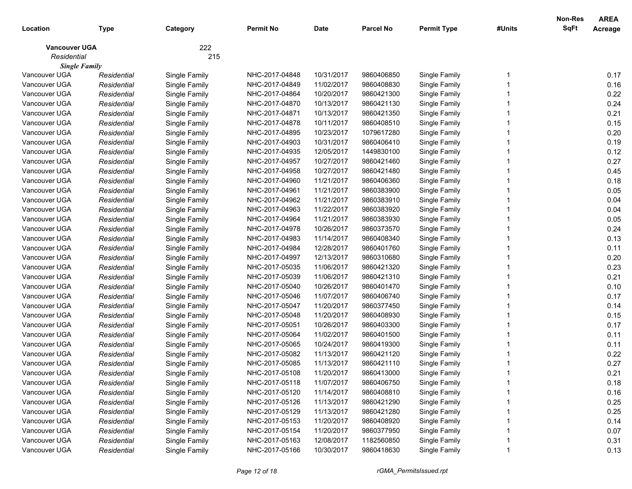| Location                              | <b>Type</b> | Category      | <b>Permit No</b> | <b>Date</b> | <b>Parcel No</b> | <b>Permit Type</b> | #Units | Non-Res<br>SqFt | <b>AREA</b><br>Acreage |
|---------------------------------------|-------------|---------------|------------------|-------------|------------------|--------------------|--------|-----------------|------------------------|
| <b>Vancouver UGA</b>                  |             | 222           |                  |             |                  |                    |        |                 |                        |
| Residential                           |             | 215           |                  |             |                  |                    |        |                 |                        |
| <b>Single Family</b><br>Vancouver UGA | Residential | Single Family | NHC-2017-04848   | 10/31/2017  | 9860406850       | Single Family      |        |                 | 0.17                   |
| Vancouver UGA                         | Residential | Single Family | NHC-2017-04849   | 11/02/2017  | 9860408830       | Single Family      |        |                 | 0.16                   |
| Vancouver UGA                         | Residential | Single Family | NHC-2017-04864   | 10/20/2017  | 9860421300       | Single Family      |        |                 | 0.22                   |
| Vancouver UGA                         | Residential | Single Family | NHC-2017-04870   | 10/13/2017  | 9860421130       | Single Family      |        |                 | 0.24                   |
| Vancouver UGA                         | Residential | Single Family | NHC-2017-04871   | 10/13/2017  | 9860421350       | Single Family      |        |                 | 0.21                   |
| Vancouver UGA                         | Residential | Single Family | NHC-2017-04878   | 10/11/2017  | 9860408510       | Single Family      |        |                 | 0.15                   |
| Vancouver UGA                         | Residential | Single Family | NHC-2017-04895   | 10/23/2017  | 1079617280       | Single Family      |        |                 | 0.20                   |
| Vancouver UGA                         | Residential | Single Family | NHC-2017-04903   | 10/31/2017  | 9860406410       | Single Family      |        |                 | 0.19                   |
| Vancouver UGA                         | Residential | Single Family | NHC-2017-04935   | 12/05/2017  | 1449830100       | Single Family      |        |                 | 0.12                   |
| Vancouver UGA                         | Residential | Single Family | NHC-2017-04957   | 10/27/2017  | 9860421460       | Single Family      |        |                 | 0.27                   |
| Vancouver UGA                         | Residential | Single Family | NHC-2017-04958   | 10/27/2017  | 9860421480       | Single Family      |        |                 | 0.45                   |
| Vancouver UGA                         | Residential | Single Family | NHC-2017-04960   | 11/21/2017  | 9860406360       | Single Family      |        |                 | 0.18                   |
| Vancouver UGA                         | Residential | Single Family | NHC-2017-04961   | 11/21/2017  | 9860383900       | Single Family      |        |                 | 0.05                   |
| Vancouver UGA                         | Residential | Single Family | NHC-2017-04962   | 11/21/2017  | 9860383910       | Single Family      |        |                 | 0.04                   |
| Vancouver UGA                         | Residential | Single Family | NHC-2017-04963   | 11/22/2017  | 9860383920       | Single Family      |        |                 | 0.04                   |
| Vancouver UGA                         | Residential | Single Family | NHC-2017-04964   | 11/21/2017  | 9860383930       | Single Family      |        |                 | 0.05                   |
| Vancouver UGA                         | Residential | Single Family | NHC-2017-04978   | 10/26/2017  | 9860373570       | Single Family      |        |                 | 0.24                   |
| Vancouver UGA                         | Residential | Single Family | NHC-2017-04983   | 11/14/2017  | 9860408340       | Single Family      |        |                 | 0.13                   |
| Vancouver UGA                         | Residential | Single Family | NHC-2017-04984   | 12/28/2017  | 9860401760       | Single Family      |        |                 | 0.11                   |
| Vancouver UGA                         | Residential | Single Family | NHC-2017-04997   | 12/13/2017  | 9860310680       | Single Family      |        |                 | 0.20                   |
| Vancouver UGA                         | Residential | Single Family | NHC-2017-05035   | 11/06/2017  | 9860421320       | Single Family      |        |                 | 0.23                   |
| Vancouver UGA                         | Residential | Single Family | NHC-2017-05039   | 11/06/2017  | 9860421310       | Single Family      |        |                 | 0.21                   |
| Vancouver UGA                         | Residential | Single Family | NHC-2017-05040   | 10/26/2017  | 9860401470       | Single Family      |        |                 | 0.10                   |
| Vancouver UGA                         | Residential | Single Family | NHC-2017-05046   | 11/07/2017  | 9860406740       | Single Family      |        |                 | 0.17                   |
| Vancouver UGA                         | Residential | Single Family | NHC-2017-05047   | 11/20/2017  | 9860377450       | Single Family      |        |                 | 0.14                   |
| Vancouver UGA                         | Residential | Single Family | NHC-2017-05048   | 11/20/2017  | 9860408930       | Single Family      |        |                 | 0.15                   |
| Vancouver UGA                         | Residential | Single Family | NHC-2017-05051   | 10/26/2017  | 9860403300       | Single Family      |        |                 | 0.17                   |
| Vancouver UGA                         | Residential | Single Family | NHC-2017-05064   | 11/02/2017  | 9860401500       | Single Family      |        |                 | 0.11                   |
| Vancouver UGA                         | Residential | Single Family | NHC-2017-05065   | 10/24/2017  | 9860419300       | Single Family      |        |                 | 0.11                   |
| Vancouver UGA                         | Residential | Single Family | NHC-2017-05082   | 11/13/2017  | 9860421120       | Single Family      |        |                 | 0.22                   |
| Vancouver UGA                         | Residential | Single Family | NHC-2017-05085   | 11/13/2017  | 9860421110       | Single Family      |        |                 | 0.27                   |
| Vancouver UGA                         | Residential | Single Family | NHC-2017-05108   | 11/20/2017  | 9860413000       | Single Family      |        |                 | 0.21                   |
| Vancouver UGA                         | Residential | Single Family | NHC-2017-05118   | 11/07/2017  | 9860406750       | Single Family      |        |                 | 0.18                   |
| Vancouver UGA                         | Residential | Single Family | NHC-2017-05120   | 11/14/2017  | 9860408810       | Single Family      |        |                 | 0.16                   |
| Vancouver UGA                         | Residential | Single Family | NHC-2017-05126   | 11/13/2017  | 9860421290       | Single Family      |        |                 | 0.25                   |
| Vancouver UGA                         | Residential | Single Family | NHC-2017-05129   | 11/13/2017  | 9860421280       | Single Family      |        |                 | 0.25                   |
| Vancouver UGA                         | Residential | Single Family | NHC-2017-05153   | 11/20/2017  | 9860408920       | Single Family      |        |                 | 0.14                   |
| Vancouver UGA                         | Residential | Single Family | NHC-2017-05154   | 11/20/2017  | 9860377950       | Single Family      |        |                 | 0.07                   |
| Vancouver UGA                         | Residential | Single Family | NHC-2017-05163   | 12/08/2017  | 1182560850       | Single Family      |        |                 | 0.31                   |
| Vancouver UGA                         | Residential | Single Family | NHC-2017-05166   | 10/30/2017  | 9860418630       | Single Family      |        |                 | 0.13                   |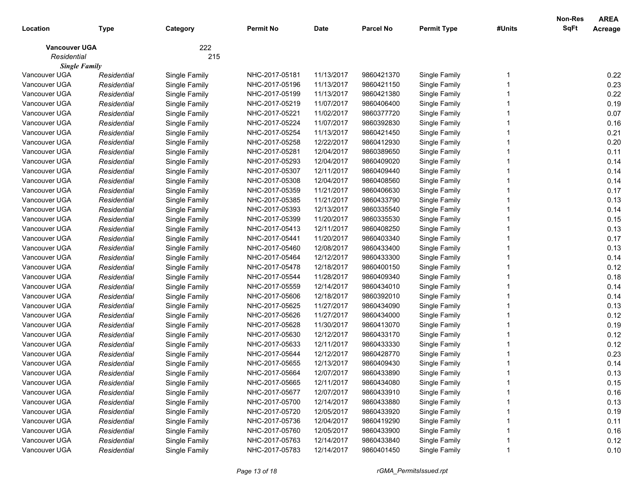| Location             | <b>Type</b> | Category      | <b>Permit No</b> | <b>Date</b> | <b>Parcel No</b> | <b>Permit Type</b> | #Units | Non-Res<br>SqFt | <b>AREA</b><br>Acreage |
|----------------------|-------------|---------------|------------------|-------------|------------------|--------------------|--------|-----------------|------------------------|
| <b>Vancouver UGA</b> |             | 222           |                  |             |                  |                    |        |                 |                        |
| Residential          |             | 215           |                  |             |                  |                    |        |                 |                        |
| <b>Single Family</b> |             |               |                  |             |                  |                    |        |                 |                        |
| Vancouver UGA        | Residential | Single Family | NHC-2017-05181   | 11/13/2017  | 9860421370       | Single Family      |        |                 | 0.22                   |
| Vancouver UGA        | Residential | Single Family | NHC-2017-05196   | 11/13/2017  | 9860421150       | Single Family      |        |                 | 0.23                   |
| Vancouver UGA        | Residential | Single Family | NHC-2017-05199   | 11/13/2017  | 9860421380       | Single Family      |        |                 | 0.22                   |
| Vancouver UGA        | Residential | Single Family | NHC-2017-05219   | 11/07/2017  | 9860406400       | Single Family      |        |                 | 0.19                   |
| Vancouver UGA        | Residential | Single Family | NHC-2017-05221   | 11/02/2017  | 9860377720       | Single Family      |        |                 | 0.07                   |
| Vancouver UGA        | Residential | Single Family | NHC-2017-05224   | 11/07/2017  | 9860392830       | Single Family      |        |                 | 0.16                   |
| Vancouver UGA        | Residential | Single Family | NHC-2017-05254   | 11/13/2017  | 9860421450       | Single Family      |        |                 | 0.21                   |
| Vancouver UGA        | Residential | Single Family | NHC-2017-05258   | 12/22/2017  | 9860412930       | Single Family      |        |                 | 0.20                   |
| Vancouver UGA        | Residential | Single Family | NHC-2017-05281   | 12/04/2017  | 9860389650       | Single Family      |        |                 | 0.11                   |
| Vancouver UGA        | Residential | Single Family | NHC-2017-05293   | 12/04/2017  | 9860409020       | Single Family      |        |                 | 0.14                   |
| Vancouver UGA        | Residential | Single Family | NHC-2017-05307   | 12/11/2017  | 9860409440       | Single Family      |        |                 | 0.14                   |
| Vancouver UGA        | Residential | Single Family | NHC-2017-05308   | 12/04/2017  | 9860408560       | Single Family      |        |                 | 0.14                   |
| Vancouver UGA        | Residential | Single Family | NHC-2017-05359   | 11/21/2017  | 9860406630       | Single Family      |        |                 | 0.17                   |
| Vancouver UGA        | Residential | Single Family | NHC-2017-05385   | 11/21/2017  | 9860433790       | Single Family      |        |                 | 0.13                   |
| Vancouver UGA        | Residential | Single Family | NHC-2017-05393   | 12/13/2017  | 9860335540       | Single Family      |        |                 | 0.14                   |
| Vancouver UGA        | Residential | Single Family | NHC-2017-05399   | 11/20/2017  | 9860335530       | Single Family      |        |                 | 0.15                   |
| Vancouver UGA        | Residential | Single Family | NHC-2017-05413   | 12/11/2017  | 9860408250       | Single Family      |        |                 | 0.13                   |
| Vancouver UGA        | Residential | Single Family | NHC-2017-05441   | 11/20/2017  | 9860403340       | Single Family      |        |                 | 0.17                   |
| Vancouver UGA        | Residential | Single Family | NHC-2017-05460   | 12/08/2017  | 9860433400       | Single Family      |        |                 | 0.13                   |
| Vancouver UGA        | Residential | Single Family | NHC-2017-05464   | 12/12/2017  | 9860433300       | Single Family      |        |                 | 0.14                   |
| Vancouver UGA        | Residential | Single Family | NHC-2017-05478   | 12/18/2017  | 9860400150       | Single Family      |        |                 | 0.12                   |
| Vancouver UGA        | Residential | Single Family | NHC-2017-05544   | 11/28/2017  | 9860409340       | Single Family      |        |                 | 0.18                   |
| Vancouver UGA        | Residential | Single Family | NHC-2017-05559   | 12/14/2017  | 9860434010       | Single Family      |        |                 | 0.14                   |
| Vancouver UGA        | Residential | Single Family | NHC-2017-05606   | 12/18/2017  | 9860392010       | Single Family      |        |                 | 0.14                   |
| Vancouver UGA        | Residential | Single Family | NHC-2017-05625   | 11/27/2017  | 9860434090       | Single Family      |        |                 | 0.13                   |
| Vancouver UGA        | Residential | Single Family | NHC-2017-05626   | 11/27/2017  | 9860434000       | Single Family      |        |                 | 0.12                   |
| Vancouver UGA        | Residential | Single Family | NHC-2017-05628   | 11/30/2017  | 9860413070       | Single Family      |        |                 | 0.19                   |
| Vancouver UGA        | Residential | Single Family | NHC-2017-05630   | 12/12/2017  | 9860433170       | Single Family      |        |                 | 0.12                   |
| Vancouver UGA        | Residential | Single Family | NHC-2017-05633   | 12/11/2017  | 9860433330       | Single Family      |        |                 | 0.12                   |
| Vancouver UGA        | Residential | Single Family | NHC-2017-05644   | 12/12/2017  | 9860428770       | Single Family      |        |                 | 0.23                   |
| Vancouver UGA        | Residential | Single Family | NHC-2017-05655   | 12/13/2017  | 9860409430       | Single Family      |        |                 | 0.14                   |
| Vancouver UGA        | Residential | Single Family | NHC-2017-05664   | 12/07/2017  | 9860433890       | Single Family      |        |                 | 0.13                   |
| Vancouver UGA        | Residential | Single Family | NHC-2017-05665   | 12/11/2017  | 9860434080       | Single Family      |        |                 | 0.15                   |
| Vancouver UGA        | Residential | Single Family | NHC-2017-05677   | 12/07/2017  | 9860433910       | Single Family      |        |                 | 0.16                   |
| Vancouver UGA        | Residential | Single Family | NHC-2017-05700   | 12/14/2017  | 9860433880       | Single Family      |        |                 | 0.13                   |
| Vancouver UGA        | Residential | Single Family | NHC-2017-05720   | 12/05/2017  | 9860433920       | Single Family      |        |                 | 0.19                   |
| Vancouver UGA        | Residential | Single Family | NHC-2017-05736   | 12/04/2017  | 9860419290       | Single Family      |        |                 | 0.11                   |
| Vancouver UGA        | Residential | Single Family | NHC-2017-05760   | 12/05/2017  | 9860433900       | Single Family      |        |                 | 0.16                   |
| Vancouver UGA        | Residential | Single Family | NHC-2017-05763   | 12/14/2017  | 9860433840       | Single Family      |        |                 | 0.12                   |
| Vancouver UGA        | Residential | Single Family | NHC-2017-05783   | 12/14/2017  | 9860401450       | Single Family      |        |                 | 0.10                   |
|                      |             |               |                  |             |                  |                    |        |                 |                        |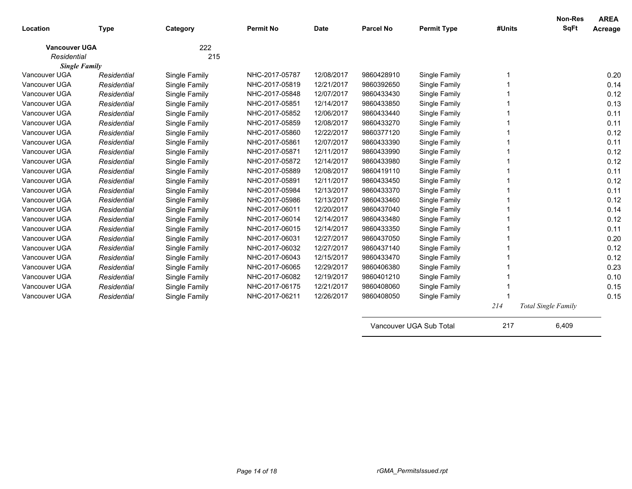| Location             | <b>Type</b> | Category      | <b>Permit No</b> | <b>Date</b> | <b>Parcel No</b> | <b>Permit Type</b>              | #Units | <b>Non-Res</b><br><b>SqFt</b> | <b>AREA</b><br>Acreage |
|----------------------|-------------|---------------|------------------|-------------|------------------|---------------------------------|--------|-------------------------------|------------------------|
| <b>Vancouver UGA</b> |             | 222           |                  |             |                  |                                 |        |                               |                        |
| Residential          |             | 215           |                  |             |                  |                                 |        |                               |                        |
| <b>Single Family</b> |             |               |                  |             |                  |                                 |        |                               |                        |
| Vancouver UGA        | Residential | Single Family | NHC-2017-05787   | 12/08/2017  | 9860428910       | Single Family                   |        |                               | 0.20                   |
| Vancouver UGA        | Residential | Single Family | NHC-2017-05819   | 12/21/2017  | 9860392650       | Single Family                   |        |                               | 0.14                   |
| Vancouver UGA        | Residential | Single Family | NHC-2017-05848   | 12/07/2017  | 9860433430       | Single Family                   |        |                               | 0.12                   |
| Vancouver UGA        | Residential | Single Family | NHC-2017-05851   | 12/14/2017  | 9860433850       | Single Family                   |        |                               | 0.13                   |
| Vancouver UGA        | Residential | Single Family | NHC-2017-05852   | 12/06/2017  | 9860433440       | Single Family                   |        |                               | 0.11                   |
| Vancouver UGA        | Residential | Single Family | NHC-2017-05859   | 12/08/2017  | 9860433270       | Single Family                   |        |                               | 0.11                   |
| Vancouver UGA        | Residential | Single Family | NHC-2017-05860   | 12/22/2017  | 9860377120       | Single Family                   |        |                               | 0.12                   |
| Vancouver UGA        | Residential | Single Family | NHC-2017-05861   | 12/07/2017  | 9860433390       | Single Family                   |        |                               | 0.11                   |
| Vancouver UGA        | Residential | Single Family | NHC-2017-05871   | 12/11/2017  | 9860433990       | Single Family                   |        |                               | 0.12                   |
| Vancouver UGA        | Residential | Single Family | NHC-2017-05872   | 12/14/2017  | 9860433980       | Single Family                   |        |                               | 0.12                   |
| Vancouver UGA        | Residential | Single Family | NHC-2017-05889   | 12/08/2017  | 9860419110       | Single Family                   |        |                               | 0.11                   |
| Vancouver UGA        | Residential | Single Family | NHC-2017-05891   | 12/11/2017  | 9860433450       | Single Family                   |        |                               | 0.12                   |
| Vancouver UGA        | Residential | Single Family | NHC-2017-05984   | 12/13/2017  | 9860433370       | Single Family                   |        |                               | 0.11                   |
| Vancouver UGA        | Residential | Single Family | NHC-2017-05986   | 12/13/2017  | 9860433460       | Single Family                   |        |                               | 0.12                   |
| Vancouver UGA        | Residential | Single Family | NHC-2017-06011   | 12/20/2017  | 9860437040       | Single Family                   |        |                               | 0.14                   |
| Vancouver UGA        | Residential | Single Family | NHC-2017-06014   | 12/14/2017  | 9860433480       | Single Family                   |        |                               | 0.12                   |
| Vancouver UGA        | Residential | Single Family | NHC-2017-06015   | 12/14/2017  | 9860433350       | Single Family                   |        |                               | 0.11                   |
| Vancouver UGA        | Residential | Single Family | NHC-2017-06031   | 12/27/2017  | 9860437050       | Single Family                   |        |                               | 0.20                   |
| Vancouver UGA        | Residential | Single Family | NHC-2017-06032   | 12/27/2017  | 9860437140       | Single Family                   |        |                               | 0.12                   |
| Vancouver UGA        | Residential | Single Family | NHC-2017-06043   | 12/15/2017  | 9860433470       | Single Family                   |        |                               | 0.12                   |
| Vancouver UGA        | Residential | Single Family | NHC-2017-06065   | 12/29/2017  | 9860406380       | Single Family                   |        |                               | 0.23                   |
| Vancouver UGA        | Residential | Single Family | NHC-2017-06082   | 12/19/2017  | 9860401210       | Single Family                   |        |                               | 0.10                   |
| Vancouver UGA        | Residential | Single Family | NHC-2017-06175   | 12/21/2017  | 9860408060       | Single Family                   |        |                               | 0.15                   |
| Vancouver UGA        | Residential | Single Family | NHC-2017-06211   | 12/26/2017  | 9860408050       | Single Family                   |        |                               | 0.15                   |
|                      |             |               |                  |             |                  |                                 | 214    | <b>Total Single Family</b>    |                        |
|                      |             |               |                  |             |                  | <i>Managuniar</i> HOA Cub Tatal | 247    | 0.100                         |                        |

Vancouver UGA Sub Total 217 6,409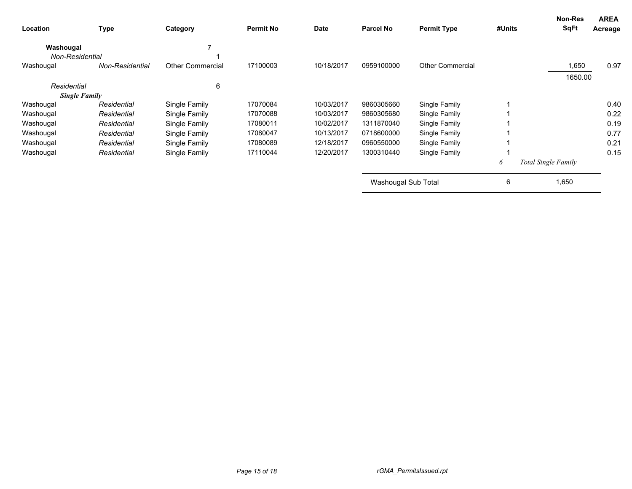| Location        | <b>Type</b>          | Category                | <b>Permit No</b> | <b>Date</b> | <b>Parcel No</b>    | <b>Permit Type</b>      | #Units | <b>Non-Res</b><br><b>SqFt</b> | <b>AREA</b><br>Acreage |
|-----------------|----------------------|-------------------------|------------------|-------------|---------------------|-------------------------|--------|-------------------------------|------------------------|
| Washougal       |                      |                         |                  |             |                     |                         |        |                               |                        |
| Non-Residential |                      |                         |                  |             |                     |                         |        |                               |                        |
| Washougal       | Non-Residential      | <b>Other Commercial</b> | 17100003         | 10/18/2017  | 0959100000          | <b>Other Commercial</b> |        | 1,650                         | 0.97                   |
|                 |                      |                         |                  |             |                     |                         |        | 1650.00                       |                        |
| Residential     |                      | 6                       |                  |             |                     |                         |        |                               |                        |
|                 | <b>Single Family</b> |                         |                  |             |                     |                         |        |                               |                        |
| Washougal       | Residential          | Single Family           | 17070084         | 10/03/2017  | 9860305660          | Single Family           |        |                               | 0.40                   |
| Washougal       | Residential          | Single Family           | 17070088         | 10/03/2017  | 9860305680          | Single Family           |        |                               | 0.22                   |
| Washougal       | Residential          | Single Family           | 17080011         | 10/02/2017  | 1311870040          | Single Family           |        |                               | 0.19                   |
| Washougal       | Residential          | Single Family           | 17080047         | 10/13/2017  | 0718600000          | Single Family           |        |                               | 0.77                   |
| Washougal       | Residential          | Single Family           | 17080089         | 12/18/2017  | 0960550000          | Single Family           |        |                               | 0.21                   |
| Washougal       | Residential          | Single Family           | 17110044         | 12/20/2017  | 1300310440          | Single Family           |        |                               | 0.15                   |
|                 |                      |                         |                  |             |                     |                         | 6      | Total Single Family           |                        |
|                 |                      |                         |                  |             | Washougal Sub Total |                         | 6      | 1,650                         |                        |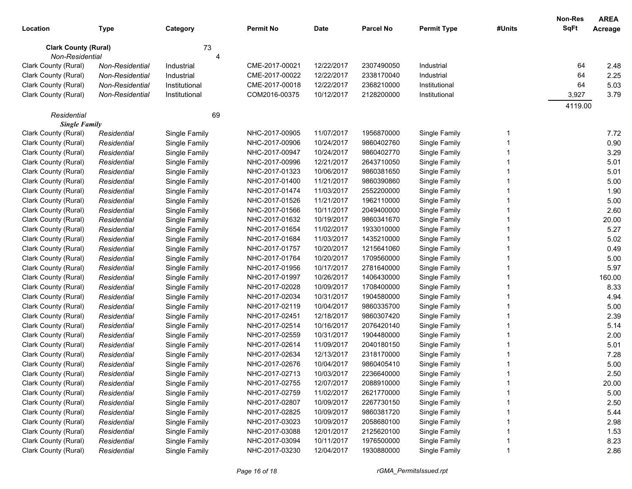| Location                                       | <b>Type</b>     | Category      | <b>Permit No</b> | <b>Date</b> | <b>Parcel No</b> | <b>Permit Type</b> | #Units | <b>Non-Res</b><br><b>SqFt</b> | <b>AREA</b><br>Acreage |
|------------------------------------------------|-----------------|---------------|------------------|-------------|------------------|--------------------|--------|-------------------------------|------------------------|
|                                                |                 |               |                  |             |                  |                    |        |                               |                        |
| <b>Clark County (Rural)</b><br>Non-Residential |                 | 73<br>4       |                  |             |                  |                    |        |                               |                        |
| Clark County (Rural)                           | Non-Residential | Industrial    | CME-2017-00021   | 12/22/2017  | 2307490050       | Industrial         |        | 64                            | 2.48                   |
| Clark County (Rural)                           | Non-Residential | Industrial    | CME-2017-00022   | 12/22/2017  | 2338170040       | Industrial         |        | 64                            | 2.25                   |
| Clark County (Rural)                           | Non-Residential | Institutional | CME-2017-00018   | 12/22/2017  | 2368210000       | Institutional      |        | 64                            | 5.03                   |
| Clark County (Rural)                           | Non-Residential | Institutional | COM2016-00375    | 10/12/2017  | 2128200000       | Institutional      |        | 3,927                         | 3.79                   |
|                                                |                 |               |                  |             |                  |                    |        | 4119.00                       |                        |
| Residential                                    |                 | 69            |                  |             |                  |                    |        |                               |                        |
| <b>Single Family</b>                           |                 |               |                  |             |                  |                    |        |                               |                        |
| Clark County (Rural)                           | Residential     | Single Family | NHC-2017-00905   | 11/07/2017  | 1956870000       | Single Family      | 1      |                               | 7.72                   |
| Clark County (Rural)                           | Residential     | Single Family | NHC-2017-00906   | 10/24/2017  | 9860402760       | Single Family      |        |                               | 0.90                   |
| Clark County (Rural)                           | Residential     | Single Family | NHC-2017-00947   | 10/24/2017  | 9860402770       | Single Family      |        |                               | 3.29                   |
| Clark County (Rural)                           | Residential     | Single Family | NHC-2017-00996   | 12/21/2017  | 2643710050       | Single Family      |        |                               | 5.01                   |
| Clark County (Rural)                           | Residential     | Single Family | NHC-2017-01323   | 10/06/2017  | 9860381650       | Single Family      |        |                               | 5.01                   |
| Clark County (Rural)                           | Residential     | Single Family | NHC-2017-01400   | 11/21/2017  | 9860390860       | Single Family      |        |                               | 5.00                   |
| Clark County (Rural)                           | Residential     | Single Family | NHC-2017-01474   | 11/03/2017  | 2552200000       | Single Family      |        |                               | 1.90                   |
| Clark County (Rural)                           | Residential     | Single Family | NHC-2017-01526   | 11/21/2017  | 1962110000       | Single Family      |        |                               | 5.00                   |
| Clark County (Rural)                           | Residential     | Single Family | NHC-2017-01566   | 10/11/2017  | 2049400000       | Single Family      |        |                               | 2.60                   |
| Clark County (Rural)                           | Residential     | Single Family | NHC-2017-01632   | 10/19/2017  | 9860341670       | Single Family      |        |                               | 20.00                  |
| Clark County (Rural)                           | Residential     | Single Family | NHC-2017-01654   | 11/02/2017  | 1933010000       | Single Family      |        |                               | 5.27                   |
| Clark County (Rural)                           | Residential     | Single Family | NHC-2017-01684   | 11/03/2017  | 1435210000       | Single Family      |        |                               | 5.02                   |
| Clark County (Rural)                           | Residential     | Single Family | NHC-2017-01757   | 10/20/2017  | 1215641060       | Single Family      |        |                               | 0.49                   |
| Clark County (Rural)                           | Residential     | Single Family | NHC-2017-01764   | 10/20/2017  | 1709560000       | Single Family      |        |                               | 5.00                   |
| Clark County (Rural)                           | Residential     | Single Family | NHC-2017-01956   | 10/17/2017  | 2781640000       | Single Family      |        |                               | 5.97                   |
| Clark County (Rural)                           | Residential     | Single Family | NHC-2017-01997   | 10/26/2017  | 1406430000       | Single Family      |        |                               | 160.00                 |
| Clark County (Rural)                           | Residential     | Single Family | NHC-2017-02028   | 10/09/2017  | 1708400000       | Single Family      |        |                               | 8.33                   |
| Clark County (Rural)                           | Residential     | Single Family | NHC-2017-02034   | 10/31/2017  | 1904580000       | Single Family      |        |                               | 4.94                   |
| Clark County (Rural)                           | Residential     | Single Family | NHC-2017-02119   | 10/04/2017  | 9860335700       | Single Family      |        |                               | 5.00                   |
| Clark County (Rural)                           | Residential     | Single Family | NHC-2017-02451   | 12/18/2017  | 9860307420       | Single Family      |        |                               | 2.39                   |
| Clark County (Rural)                           | Residential     | Single Family | NHC-2017-02514   | 10/16/2017  | 2076420140       | Single Family      |        |                               | 5.14                   |
| Clark County (Rural)                           | Residential     | Single Family | NHC-2017-02559   | 10/31/2017  | 1904480000       | Single Family      |        |                               | 2.00                   |
| Clark County (Rural)                           | Residential     | Single Family | NHC-2017-02614   | 11/09/2017  | 2040180150       | Single Family      |        |                               | 5.01                   |
| Clark County (Rural)                           | Residential     | Single Family | NHC-2017-02634   | 12/13/2017  | 2318170000       | Single Family      |        |                               | 7.28                   |
| Clark County (Rural)                           | Residential     | Single Family | NHC-2017-02676   | 10/04/2017  | 9860405410       | Single Family      |        |                               | 5.00                   |
| Clark County (Rural)                           | Residential     | Single Family | NHC-2017-02713   | 10/03/2017  | 2236640000       | Single Family      |        |                               | 2.50                   |
| Clark County (Rural)                           | Residential     | Single Family | NHC-2017-02755   | 12/07/2017  | 2088910000       | Single Family      |        |                               | 20.00                  |
| Clark County (Rural)                           | Residential     | Single Family | NHC-2017-02759   | 11/02/2017  | 2621770000       | Single Family      |        |                               | 5.00                   |
| Clark County (Rural)                           | Residential     | Single Family | NHC-2017-02807   | 10/09/2017  | 2267730150       | Single Family      |        |                               | 2.50                   |
| Clark County (Rural)                           | Residential     | Single Family | NHC-2017-02825   | 10/09/2017  | 9860381720       | Single Family      |        |                               | 5.44                   |
| Clark County (Rural)                           | Residential     | Single Family | NHC-2017-03023   | 10/09/2017  | 2058680100       | Single Family      |        |                               | 2.98                   |
| Clark County (Rural)                           | Residential     | Single Family | NHC-2017-03088   | 12/01/2017  | 2125620100       | Single Family      |        |                               | 1.53                   |
| Clark County (Rural)                           | Residential     | Single Family | NHC-2017-03094   | 10/11/2017  | 1976500000       | Single Family      |        |                               | 8.23                   |
| Clark County (Rural)                           | Residential     | Single Family | NHC-2017-03230   | 12/04/2017  | 1930880000       | Single Family      |        |                               | 2.86                   |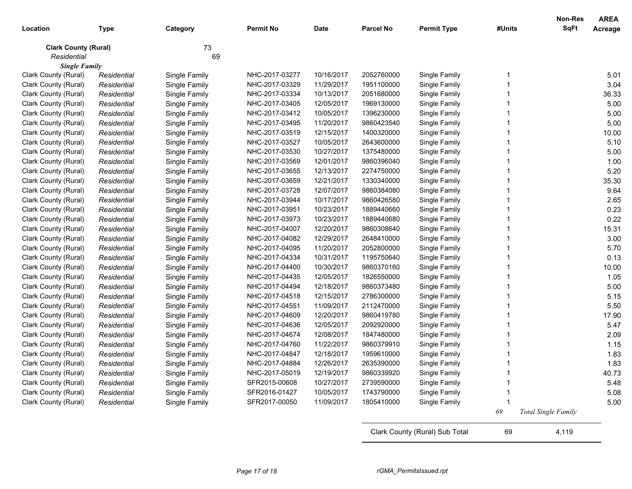| SqFt<br><b>Parcel No</b><br><b>Permit Type</b><br><b>Permit No</b><br><b>Date</b><br>#Units<br>Location<br><b>Type</b><br>Category<br>73<br><b>Clark County (Rural)</b><br>69<br>Residential<br><b>Single Family</b><br>10/16/2017<br>Clark County (Rural)<br>Single Family<br>NHC-2017-03277<br>2052760000<br>Single Family<br>Residential<br>Clark County (Rural)<br>Single Family<br>NHC-2017-03329<br>11/29/2017<br>1951100000<br>Single Family<br>Residential<br>10/13/2017<br>Clark County (Rural)<br>NHC-2017-03334<br>2051680000<br>Single Family<br>Single Family<br>Residential<br>Clark County (Rural)<br>Single Family<br>NHC-2017-03405<br>12/05/2017<br>1969130000<br>Single Family<br>Residential<br>10/05/2017<br>Single Family<br>Clark County (Rural)<br>Single Family<br>NHC-2017-03412<br>1396230000<br>Residential<br>11/20/2017<br>Single Family<br>Clark County (Rural)<br>Single Family<br>NHC-2017-03495<br>9860423540<br>Residential<br>12/15/2017<br>Clark County (Rural)<br>Single Family<br>NHC-2017-03519<br>1400320000<br>Single Family<br>Residential<br>10/05/2017<br>Clark County (Rural)<br>Single Family<br>NHC-2017-03527<br>2643600000<br>Single Family<br>Residential<br>10/27/2017<br>Clark County (Rural)<br>Single Family<br>NHC-2017-03530<br>1375480000<br>Single Family<br>Residential<br>12/01/2017<br>Clark County (Rural)<br>NHC-2017-03569<br>9860396040<br>Single Family<br>Residential<br>Single Family<br>12/13/2017<br>Clark County (Rural)<br>Single Family<br>NHC-2017-03655<br>2274750000<br>Single Family<br>Residential<br>12/21/2017<br>Single Family<br>Clark County (Rural)<br>Residential<br>Single Family<br>NHC-2017-03659<br>1330340000<br>Single Family<br>NHC-2017-03728<br>12/07/2017<br>Single Family<br>Clark County (Rural)<br>Residential<br>9860384080<br>Single Family<br>10/17/2017<br>Single Family<br>Clark County (Rural)<br>Residential<br>NHC-2017-03944<br>9860426580<br>Single Family<br>10/23/2017<br>Single Family<br>Clark County (Rural)<br>Residential<br>NHC-2017-03951<br>1889440660<br>10/23/2017<br>Clark County (Rural)<br>Residential<br>Single Family<br>NHC-2017-03973<br>1889440680<br>Single Family<br>Clark County (Rural)<br>Residential<br>Single Family<br>NHC-2017-04007<br>12/20/2017<br>9860308640<br>Single Family<br>Clark County (Rural)<br>Single Family<br>NHC-2017-04082<br>12/29/2017<br>2648410000<br>Single Family<br>Residential<br>Single Family<br>NHC-2017-04095<br>11/20/2017<br>Single Family<br>Clark County (Rural)<br>Residential<br>2052800000<br>Single Family<br>10/31/2017<br>Single Family<br>Clark County (Rural)<br>Residential<br>NHC-2017-04334<br>1195750640<br>Single Family<br>10/30/2017<br>Single Family<br>Clark County (Rural)<br>Residential<br>NHC-2017-04400<br>9860370160<br>12/05/2017<br>Single Family<br>Clark County (Rural)<br>Residential<br>Single Family<br>NHC-2017-04435<br>1826550000<br>12/18/2017<br>Single Family<br>Clark County (Rural)<br>Residential<br>Single Family<br>NHC-2017-04494<br>9860373480<br>12/15/2017<br>Single Family<br>Clark County (Rural)<br>Residential<br>Single Family<br>NHC-2017-04518<br>2786300000<br>11/09/2017<br>Clark County (Rural)<br>Single Family<br>NHC-2017-04551<br>2112470000<br>Single Family<br>Residential | <b>AREA</b><br><b>Acreage</b> |
|---------------------------------------------------------------------------------------------------------------------------------------------------------------------------------------------------------------------------------------------------------------------------------------------------------------------------------------------------------------------------------------------------------------------------------------------------------------------------------------------------------------------------------------------------------------------------------------------------------------------------------------------------------------------------------------------------------------------------------------------------------------------------------------------------------------------------------------------------------------------------------------------------------------------------------------------------------------------------------------------------------------------------------------------------------------------------------------------------------------------------------------------------------------------------------------------------------------------------------------------------------------------------------------------------------------------------------------------------------------------------------------------------------------------------------------------------------------------------------------------------------------------------------------------------------------------------------------------------------------------------------------------------------------------------------------------------------------------------------------------------------------------------------------------------------------------------------------------------------------------------------------------------------------------------------------------------------------------------------------------------------------------------------------------------------------------------------------------------------------------------------------------------------------------------------------------------------------------------------------------------------------------------------------------------------------------------------------------------------------------------------------------------------------------------------------------------------------------------------------------------------------------------------------------------------------------------------------------------------------------------------------------------------------------------------------------------------------------------------------------------------------------------------------------------------------------------------------------------------------------------------------------------------------------------------------------------------------------------------------------------------------------------------------------------------------------------------------------------------------------------------------------------------------------------------------------------------------------------------------------------------------------------------------------------------------------|-------------------------------|
|                                                                                                                                                                                                                                                                                                                                                                                                                                                                                                                                                                                                                                                                                                                                                                                                                                                                                                                                                                                                                                                                                                                                                                                                                                                                                                                                                                                                                                                                                                                                                                                                                                                                                                                                                                                                                                                                                                                                                                                                                                                                                                                                                                                                                                                                                                                                                                                                                                                                                                                                                                                                                                                                                                                                                                                                                                                                                                                                                                                                                                                                                                                                                                                                                                                                                                                     |                               |
|                                                                                                                                                                                                                                                                                                                                                                                                                                                                                                                                                                                                                                                                                                                                                                                                                                                                                                                                                                                                                                                                                                                                                                                                                                                                                                                                                                                                                                                                                                                                                                                                                                                                                                                                                                                                                                                                                                                                                                                                                                                                                                                                                                                                                                                                                                                                                                                                                                                                                                                                                                                                                                                                                                                                                                                                                                                                                                                                                                                                                                                                                                                                                                                                                                                                                                                     |                               |
|                                                                                                                                                                                                                                                                                                                                                                                                                                                                                                                                                                                                                                                                                                                                                                                                                                                                                                                                                                                                                                                                                                                                                                                                                                                                                                                                                                                                                                                                                                                                                                                                                                                                                                                                                                                                                                                                                                                                                                                                                                                                                                                                                                                                                                                                                                                                                                                                                                                                                                                                                                                                                                                                                                                                                                                                                                                                                                                                                                                                                                                                                                                                                                                                                                                                                                                     |                               |
|                                                                                                                                                                                                                                                                                                                                                                                                                                                                                                                                                                                                                                                                                                                                                                                                                                                                                                                                                                                                                                                                                                                                                                                                                                                                                                                                                                                                                                                                                                                                                                                                                                                                                                                                                                                                                                                                                                                                                                                                                                                                                                                                                                                                                                                                                                                                                                                                                                                                                                                                                                                                                                                                                                                                                                                                                                                                                                                                                                                                                                                                                                                                                                                                                                                                                                                     |                               |
|                                                                                                                                                                                                                                                                                                                                                                                                                                                                                                                                                                                                                                                                                                                                                                                                                                                                                                                                                                                                                                                                                                                                                                                                                                                                                                                                                                                                                                                                                                                                                                                                                                                                                                                                                                                                                                                                                                                                                                                                                                                                                                                                                                                                                                                                                                                                                                                                                                                                                                                                                                                                                                                                                                                                                                                                                                                                                                                                                                                                                                                                                                                                                                                                                                                                                                                     | 5.01                          |
|                                                                                                                                                                                                                                                                                                                                                                                                                                                                                                                                                                                                                                                                                                                                                                                                                                                                                                                                                                                                                                                                                                                                                                                                                                                                                                                                                                                                                                                                                                                                                                                                                                                                                                                                                                                                                                                                                                                                                                                                                                                                                                                                                                                                                                                                                                                                                                                                                                                                                                                                                                                                                                                                                                                                                                                                                                                                                                                                                                                                                                                                                                                                                                                                                                                                                                                     | 3.04                          |
|                                                                                                                                                                                                                                                                                                                                                                                                                                                                                                                                                                                                                                                                                                                                                                                                                                                                                                                                                                                                                                                                                                                                                                                                                                                                                                                                                                                                                                                                                                                                                                                                                                                                                                                                                                                                                                                                                                                                                                                                                                                                                                                                                                                                                                                                                                                                                                                                                                                                                                                                                                                                                                                                                                                                                                                                                                                                                                                                                                                                                                                                                                                                                                                                                                                                                                                     | 36.33                         |
|                                                                                                                                                                                                                                                                                                                                                                                                                                                                                                                                                                                                                                                                                                                                                                                                                                                                                                                                                                                                                                                                                                                                                                                                                                                                                                                                                                                                                                                                                                                                                                                                                                                                                                                                                                                                                                                                                                                                                                                                                                                                                                                                                                                                                                                                                                                                                                                                                                                                                                                                                                                                                                                                                                                                                                                                                                                                                                                                                                                                                                                                                                                                                                                                                                                                                                                     | 5.00                          |
|                                                                                                                                                                                                                                                                                                                                                                                                                                                                                                                                                                                                                                                                                                                                                                                                                                                                                                                                                                                                                                                                                                                                                                                                                                                                                                                                                                                                                                                                                                                                                                                                                                                                                                                                                                                                                                                                                                                                                                                                                                                                                                                                                                                                                                                                                                                                                                                                                                                                                                                                                                                                                                                                                                                                                                                                                                                                                                                                                                                                                                                                                                                                                                                                                                                                                                                     | 5.00                          |
|                                                                                                                                                                                                                                                                                                                                                                                                                                                                                                                                                                                                                                                                                                                                                                                                                                                                                                                                                                                                                                                                                                                                                                                                                                                                                                                                                                                                                                                                                                                                                                                                                                                                                                                                                                                                                                                                                                                                                                                                                                                                                                                                                                                                                                                                                                                                                                                                                                                                                                                                                                                                                                                                                                                                                                                                                                                                                                                                                                                                                                                                                                                                                                                                                                                                                                                     | 5.00                          |
|                                                                                                                                                                                                                                                                                                                                                                                                                                                                                                                                                                                                                                                                                                                                                                                                                                                                                                                                                                                                                                                                                                                                                                                                                                                                                                                                                                                                                                                                                                                                                                                                                                                                                                                                                                                                                                                                                                                                                                                                                                                                                                                                                                                                                                                                                                                                                                                                                                                                                                                                                                                                                                                                                                                                                                                                                                                                                                                                                                                                                                                                                                                                                                                                                                                                                                                     | 10.00                         |
|                                                                                                                                                                                                                                                                                                                                                                                                                                                                                                                                                                                                                                                                                                                                                                                                                                                                                                                                                                                                                                                                                                                                                                                                                                                                                                                                                                                                                                                                                                                                                                                                                                                                                                                                                                                                                                                                                                                                                                                                                                                                                                                                                                                                                                                                                                                                                                                                                                                                                                                                                                                                                                                                                                                                                                                                                                                                                                                                                                                                                                                                                                                                                                                                                                                                                                                     | 5.10                          |
|                                                                                                                                                                                                                                                                                                                                                                                                                                                                                                                                                                                                                                                                                                                                                                                                                                                                                                                                                                                                                                                                                                                                                                                                                                                                                                                                                                                                                                                                                                                                                                                                                                                                                                                                                                                                                                                                                                                                                                                                                                                                                                                                                                                                                                                                                                                                                                                                                                                                                                                                                                                                                                                                                                                                                                                                                                                                                                                                                                                                                                                                                                                                                                                                                                                                                                                     | 5.00                          |
|                                                                                                                                                                                                                                                                                                                                                                                                                                                                                                                                                                                                                                                                                                                                                                                                                                                                                                                                                                                                                                                                                                                                                                                                                                                                                                                                                                                                                                                                                                                                                                                                                                                                                                                                                                                                                                                                                                                                                                                                                                                                                                                                                                                                                                                                                                                                                                                                                                                                                                                                                                                                                                                                                                                                                                                                                                                                                                                                                                                                                                                                                                                                                                                                                                                                                                                     | 1.00                          |
|                                                                                                                                                                                                                                                                                                                                                                                                                                                                                                                                                                                                                                                                                                                                                                                                                                                                                                                                                                                                                                                                                                                                                                                                                                                                                                                                                                                                                                                                                                                                                                                                                                                                                                                                                                                                                                                                                                                                                                                                                                                                                                                                                                                                                                                                                                                                                                                                                                                                                                                                                                                                                                                                                                                                                                                                                                                                                                                                                                                                                                                                                                                                                                                                                                                                                                                     | 5.20                          |
|                                                                                                                                                                                                                                                                                                                                                                                                                                                                                                                                                                                                                                                                                                                                                                                                                                                                                                                                                                                                                                                                                                                                                                                                                                                                                                                                                                                                                                                                                                                                                                                                                                                                                                                                                                                                                                                                                                                                                                                                                                                                                                                                                                                                                                                                                                                                                                                                                                                                                                                                                                                                                                                                                                                                                                                                                                                                                                                                                                                                                                                                                                                                                                                                                                                                                                                     | 35.30                         |
|                                                                                                                                                                                                                                                                                                                                                                                                                                                                                                                                                                                                                                                                                                                                                                                                                                                                                                                                                                                                                                                                                                                                                                                                                                                                                                                                                                                                                                                                                                                                                                                                                                                                                                                                                                                                                                                                                                                                                                                                                                                                                                                                                                                                                                                                                                                                                                                                                                                                                                                                                                                                                                                                                                                                                                                                                                                                                                                                                                                                                                                                                                                                                                                                                                                                                                                     | 9.64                          |
|                                                                                                                                                                                                                                                                                                                                                                                                                                                                                                                                                                                                                                                                                                                                                                                                                                                                                                                                                                                                                                                                                                                                                                                                                                                                                                                                                                                                                                                                                                                                                                                                                                                                                                                                                                                                                                                                                                                                                                                                                                                                                                                                                                                                                                                                                                                                                                                                                                                                                                                                                                                                                                                                                                                                                                                                                                                                                                                                                                                                                                                                                                                                                                                                                                                                                                                     | 2.65                          |
|                                                                                                                                                                                                                                                                                                                                                                                                                                                                                                                                                                                                                                                                                                                                                                                                                                                                                                                                                                                                                                                                                                                                                                                                                                                                                                                                                                                                                                                                                                                                                                                                                                                                                                                                                                                                                                                                                                                                                                                                                                                                                                                                                                                                                                                                                                                                                                                                                                                                                                                                                                                                                                                                                                                                                                                                                                                                                                                                                                                                                                                                                                                                                                                                                                                                                                                     | 0.23                          |
|                                                                                                                                                                                                                                                                                                                                                                                                                                                                                                                                                                                                                                                                                                                                                                                                                                                                                                                                                                                                                                                                                                                                                                                                                                                                                                                                                                                                                                                                                                                                                                                                                                                                                                                                                                                                                                                                                                                                                                                                                                                                                                                                                                                                                                                                                                                                                                                                                                                                                                                                                                                                                                                                                                                                                                                                                                                                                                                                                                                                                                                                                                                                                                                                                                                                                                                     | 0.22                          |
|                                                                                                                                                                                                                                                                                                                                                                                                                                                                                                                                                                                                                                                                                                                                                                                                                                                                                                                                                                                                                                                                                                                                                                                                                                                                                                                                                                                                                                                                                                                                                                                                                                                                                                                                                                                                                                                                                                                                                                                                                                                                                                                                                                                                                                                                                                                                                                                                                                                                                                                                                                                                                                                                                                                                                                                                                                                                                                                                                                                                                                                                                                                                                                                                                                                                                                                     | 15.31                         |
|                                                                                                                                                                                                                                                                                                                                                                                                                                                                                                                                                                                                                                                                                                                                                                                                                                                                                                                                                                                                                                                                                                                                                                                                                                                                                                                                                                                                                                                                                                                                                                                                                                                                                                                                                                                                                                                                                                                                                                                                                                                                                                                                                                                                                                                                                                                                                                                                                                                                                                                                                                                                                                                                                                                                                                                                                                                                                                                                                                                                                                                                                                                                                                                                                                                                                                                     | 3.00                          |
|                                                                                                                                                                                                                                                                                                                                                                                                                                                                                                                                                                                                                                                                                                                                                                                                                                                                                                                                                                                                                                                                                                                                                                                                                                                                                                                                                                                                                                                                                                                                                                                                                                                                                                                                                                                                                                                                                                                                                                                                                                                                                                                                                                                                                                                                                                                                                                                                                                                                                                                                                                                                                                                                                                                                                                                                                                                                                                                                                                                                                                                                                                                                                                                                                                                                                                                     | 5.70                          |
|                                                                                                                                                                                                                                                                                                                                                                                                                                                                                                                                                                                                                                                                                                                                                                                                                                                                                                                                                                                                                                                                                                                                                                                                                                                                                                                                                                                                                                                                                                                                                                                                                                                                                                                                                                                                                                                                                                                                                                                                                                                                                                                                                                                                                                                                                                                                                                                                                                                                                                                                                                                                                                                                                                                                                                                                                                                                                                                                                                                                                                                                                                                                                                                                                                                                                                                     | 0.13                          |
|                                                                                                                                                                                                                                                                                                                                                                                                                                                                                                                                                                                                                                                                                                                                                                                                                                                                                                                                                                                                                                                                                                                                                                                                                                                                                                                                                                                                                                                                                                                                                                                                                                                                                                                                                                                                                                                                                                                                                                                                                                                                                                                                                                                                                                                                                                                                                                                                                                                                                                                                                                                                                                                                                                                                                                                                                                                                                                                                                                                                                                                                                                                                                                                                                                                                                                                     | 10.00                         |
|                                                                                                                                                                                                                                                                                                                                                                                                                                                                                                                                                                                                                                                                                                                                                                                                                                                                                                                                                                                                                                                                                                                                                                                                                                                                                                                                                                                                                                                                                                                                                                                                                                                                                                                                                                                                                                                                                                                                                                                                                                                                                                                                                                                                                                                                                                                                                                                                                                                                                                                                                                                                                                                                                                                                                                                                                                                                                                                                                                                                                                                                                                                                                                                                                                                                                                                     | 1.05                          |
|                                                                                                                                                                                                                                                                                                                                                                                                                                                                                                                                                                                                                                                                                                                                                                                                                                                                                                                                                                                                                                                                                                                                                                                                                                                                                                                                                                                                                                                                                                                                                                                                                                                                                                                                                                                                                                                                                                                                                                                                                                                                                                                                                                                                                                                                                                                                                                                                                                                                                                                                                                                                                                                                                                                                                                                                                                                                                                                                                                                                                                                                                                                                                                                                                                                                                                                     | 5.00                          |
|                                                                                                                                                                                                                                                                                                                                                                                                                                                                                                                                                                                                                                                                                                                                                                                                                                                                                                                                                                                                                                                                                                                                                                                                                                                                                                                                                                                                                                                                                                                                                                                                                                                                                                                                                                                                                                                                                                                                                                                                                                                                                                                                                                                                                                                                                                                                                                                                                                                                                                                                                                                                                                                                                                                                                                                                                                                                                                                                                                                                                                                                                                                                                                                                                                                                                                                     | 5.15                          |
|                                                                                                                                                                                                                                                                                                                                                                                                                                                                                                                                                                                                                                                                                                                                                                                                                                                                                                                                                                                                                                                                                                                                                                                                                                                                                                                                                                                                                                                                                                                                                                                                                                                                                                                                                                                                                                                                                                                                                                                                                                                                                                                                                                                                                                                                                                                                                                                                                                                                                                                                                                                                                                                                                                                                                                                                                                                                                                                                                                                                                                                                                                                                                                                                                                                                                                                     | 5.50                          |
| 12/20/2017<br>Clark County (Rural)<br>NHC-2017-04609<br>9860419780<br>Single Family<br>Residential<br>Single Family                                                                                                                                                                                                                                                                                                                                                                                                                                                                                                                                                                                                                                                                                                                                                                                                                                                                                                                                                                                                                                                                                                                                                                                                                                                                                                                                                                                                                                                                                                                                                                                                                                                                                                                                                                                                                                                                                                                                                                                                                                                                                                                                                                                                                                                                                                                                                                                                                                                                                                                                                                                                                                                                                                                                                                                                                                                                                                                                                                                                                                                                                                                                                                                                 | 17.90                         |
| Clark County (Rural)<br>NHC-2017-04636<br>12/05/2017<br>Single Family<br>Residential<br>Single Family<br>2092920000                                                                                                                                                                                                                                                                                                                                                                                                                                                                                                                                                                                                                                                                                                                                                                                                                                                                                                                                                                                                                                                                                                                                                                                                                                                                                                                                                                                                                                                                                                                                                                                                                                                                                                                                                                                                                                                                                                                                                                                                                                                                                                                                                                                                                                                                                                                                                                                                                                                                                                                                                                                                                                                                                                                                                                                                                                                                                                                                                                                                                                                                                                                                                                                                 | 5.47                          |
| 12/08/2017<br>Single Family<br>Clark County (Rural)<br>Residential<br>Single Family<br>NHC-2017-04674<br>1847480000                                                                                                                                                                                                                                                                                                                                                                                                                                                                                                                                                                                                                                                                                                                                                                                                                                                                                                                                                                                                                                                                                                                                                                                                                                                                                                                                                                                                                                                                                                                                                                                                                                                                                                                                                                                                                                                                                                                                                                                                                                                                                                                                                                                                                                                                                                                                                                                                                                                                                                                                                                                                                                                                                                                                                                                                                                                                                                                                                                                                                                                                                                                                                                                                 | 2.09                          |
| NHC-2017-04760<br>11/22/2017<br>Single Family<br>Clark County (Rural)<br>Residential<br>Single Family<br>9860379910                                                                                                                                                                                                                                                                                                                                                                                                                                                                                                                                                                                                                                                                                                                                                                                                                                                                                                                                                                                                                                                                                                                                                                                                                                                                                                                                                                                                                                                                                                                                                                                                                                                                                                                                                                                                                                                                                                                                                                                                                                                                                                                                                                                                                                                                                                                                                                                                                                                                                                                                                                                                                                                                                                                                                                                                                                                                                                                                                                                                                                                                                                                                                                                                 | 1.15                          |
| 12/18/2017<br>Clark County (Rural)<br>Residential<br>Single Family<br>NHC-2017-04847<br>1959610000<br>Single Family                                                                                                                                                                                                                                                                                                                                                                                                                                                                                                                                                                                                                                                                                                                                                                                                                                                                                                                                                                                                                                                                                                                                                                                                                                                                                                                                                                                                                                                                                                                                                                                                                                                                                                                                                                                                                                                                                                                                                                                                                                                                                                                                                                                                                                                                                                                                                                                                                                                                                                                                                                                                                                                                                                                                                                                                                                                                                                                                                                                                                                                                                                                                                                                                 | 1.83                          |
| Clark County (Rural)<br>12/26/2017<br>2635390000<br>Single Family<br>Residential<br>Single Family<br>NHC-2017-04884                                                                                                                                                                                                                                                                                                                                                                                                                                                                                                                                                                                                                                                                                                                                                                                                                                                                                                                                                                                                                                                                                                                                                                                                                                                                                                                                                                                                                                                                                                                                                                                                                                                                                                                                                                                                                                                                                                                                                                                                                                                                                                                                                                                                                                                                                                                                                                                                                                                                                                                                                                                                                                                                                                                                                                                                                                                                                                                                                                                                                                                                                                                                                                                                 | 1.83                          |
| 9860339920<br>Clark County (Rural)<br>Single Family<br>NHC-2017-05019<br>12/19/2017<br>Single Family<br>Residential                                                                                                                                                                                                                                                                                                                                                                                                                                                                                                                                                                                                                                                                                                                                                                                                                                                                                                                                                                                                                                                                                                                                                                                                                                                                                                                                                                                                                                                                                                                                                                                                                                                                                                                                                                                                                                                                                                                                                                                                                                                                                                                                                                                                                                                                                                                                                                                                                                                                                                                                                                                                                                                                                                                                                                                                                                                                                                                                                                                                                                                                                                                                                                                                 | 40.73                         |
| SFR2015-00608<br>10/27/2017<br>Single Family<br>Clark County (Rural)<br>2739590000<br>Single Family<br>Residential<br>-1                                                                                                                                                                                                                                                                                                                                                                                                                                                                                                                                                                                                                                                                                                                                                                                                                                                                                                                                                                                                                                                                                                                                                                                                                                                                                                                                                                                                                                                                                                                                                                                                                                                                                                                                                                                                                                                                                                                                                                                                                                                                                                                                                                                                                                                                                                                                                                                                                                                                                                                                                                                                                                                                                                                                                                                                                                                                                                                                                                                                                                                                                                                                                                                            | 5.48                          |
| Clark County (Rural)<br>Single Family<br>Single Family<br>SFR2016-01427<br>10/05/2017<br>1743790000<br>Residential                                                                                                                                                                                                                                                                                                                                                                                                                                                                                                                                                                                                                                                                                                                                                                                                                                                                                                                                                                                                                                                                                                                                                                                                                                                                                                                                                                                                                                                                                                                                                                                                                                                                                                                                                                                                                                                                                                                                                                                                                                                                                                                                                                                                                                                                                                                                                                                                                                                                                                                                                                                                                                                                                                                                                                                                                                                                                                                                                                                                                                                                                                                                                                                                  | 5.08                          |
| Single Family<br>11/09/2017<br>Single Family<br>Clark County (Rural)<br>SFR2017-00050<br>1805410000<br>Residential                                                                                                                                                                                                                                                                                                                                                                                                                                                                                                                                                                                                                                                                                                                                                                                                                                                                                                                                                                                                                                                                                                                                                                                                                                                                                                                                                                                                                                                                                                                                                                                                                                                                                                                                                                                                                                                                                                                                                                                                                                                                                                                                                                                                                                                                                                                                                                                                                                                                                                                                                                                                                                                                                                                                                                                                                                                                                                                                                                                                                                                                                                                                                                                                  | 5.00                          |
| 69<br>Total Single Family                                                                                                                                                                                                                                                                                                                                                                                                                                                                                                                                                                                                                                                                                                                                                                                                                                                                                                                                                                                                                                                                                                                                                                                                                                                                                                                                                                                                                                                                                                                                                                                                                                                                                                                                                                                                                                                                                                                                                                                                                                                                                                                                                                                                                                                                                                                                                                                                                                                                                                                                                                                                                                                                                                                                                                                                                                                                                                                                                                                                                                                                                                                                                                                                                                                                                           |                               |
| Clark County (Rural) Sub Total<br>4,119<br>69                                                                                                                                                                                                                                                                                                                                                                                                                                                                                                                                                                                                                                                                                                                                                                                                                                                                                                                                                                                                                                                                                                                                                                                                                                                                                                                                                                                                                                                                                                                                                                                                                                                                                                                                                                                                                                                                                                                                                                                                                                                                                                                                                                                                                                                                                                                                                                                                                                                                                                                                                                                                                                                                                                                                                                                                                                                                                                                                                                                                                                                                                                                                                                                                                                                                       |                               |